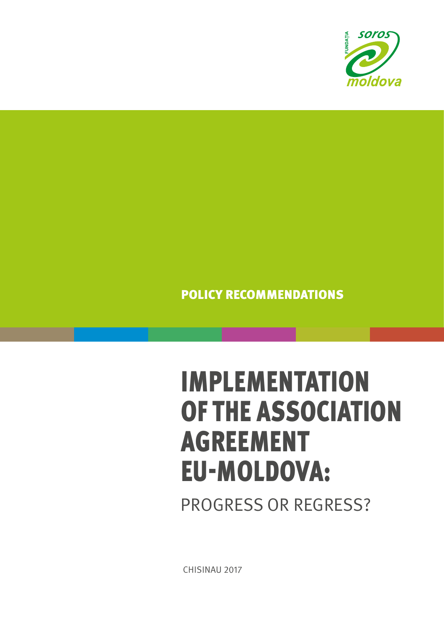

## POLICY RECOMMENDATIONS

# IMPLEMENTATION OF THE ASSOCIATION AGREEMENT EU-MOLDOVA:

PROGRESS OR REGRESS?

CHISINAU 2017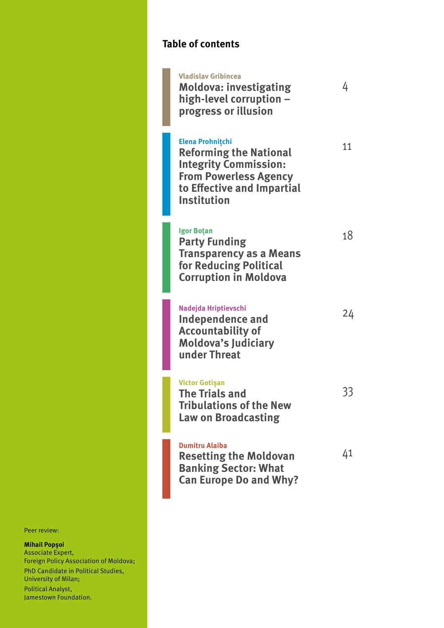## **Table of contents**

| <b>Vladislav Gribincea</b><br><b>Moldova: investigating</b><br>high-level corruption -<br>progress or illusion                                                               | 4  |
|------------------------------------------------------------------------------------------------------------------------------------------------------------------------------|----|
| <b>Elena Prohnitchi</b><br><b>Reforming the National</b><br><b>Integrity Commission:</b><br><b>From Powerless Agency</b><br>to Effective and Impartial<br><b>Institution</b> | 11 |
| <b>Igor Botan</b><br><b>Party Funding</b><br><b>Transparency as a Means</b><br>for Reducing Political<br><b>Corruption in Moldova</b>                                        | 18 |
| Nadejda Hriptievschi<br>Independence and<br><b>Accountability of</b><br><b>Moldova's Judiciary</b><br>under Threat                                                           | 24 |
| <b>Victor Gotișan</b><br><b>The Trials and</b><br><b>Tribulations of the New</b><br><b>Law on Broadcasting</b>                                                               |    |
| <b>Dumitru Alaiba</b><br><b>Resetting the Moldovan</b><br><b>Banking Sector: What</b><br><b>Can Europe Do and Why?</b>                                                       | 41 |

Peer review:

#### **Mihail Popșoi**

Associate Expert, Foreign Policy Association of Moldova; PhD Candidate in Political Studies, University of Milan; Political Analyst, Jamestown Foundation.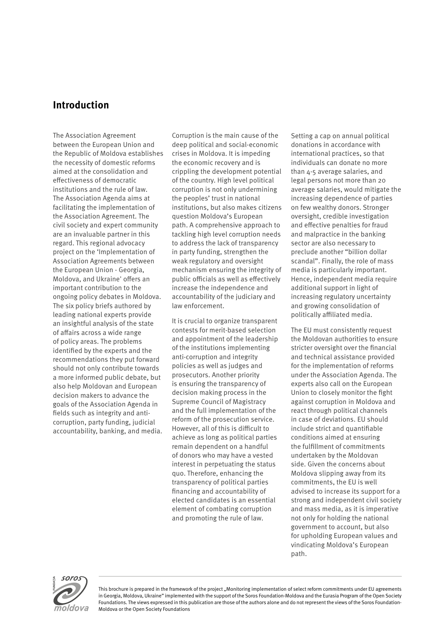## **Introduction**

The Association Agreement between the European Union and the Republic of Moldova establishes the necessity of domestic reforms aimed at the consolidation and effectiveness of democratic institutions and the rule of law. The Association Agenda aims at facilitating the implementation of the Association Agreement. The civil society and expert community are an invaluable partner in this regard. This regional advocacy project on the 'Implementation of Association Agreements between the European Union - Georgia, Moldova, and Ukraine' offers an important contribution to the ongoing policy debates in Moldova. The six policy briefs authored by leading national experts provide an insightful analysis of the state of affairs across a wide range of policy areas. The problems identified by the experts and the recommendations they put forward should not only contribute towards a more informed public debate, but also help Moldovan and European decision makers to advance the goals of the Association Agenda in fields such as integrity and anticorruption, party funding, judicial accountability, banking, and media.

Corruption is the main cause of the deep political and social-economic crises in Moldova. It is impeding the economic recovery and is crippling the development potential of the country. High level political corruption is not only undermining the peoples' trust in national institutions, but also makes citizens question Moldova's European path. A comprehensive approach to tackling high level corruption needs to address the lack of transparency in party funding, strengthen the weak regulatory and oversight mechanism ensuring the integrity of public officials as well as effectively increase the independence and accountability of the judiciary and law enforcement.

It is crucial to organize transparent contests for merit-based selection and appointment of the leadership of the institutions implementing anti-corruption and integrity policies as well as judges and prosecutors. Another priority is ensuring the transparency of decision making process in the Supreme Council of Magistracy and the full implementation of the reform of the prosecution service. However, all of this is difficult to achieve as long as political parties remain dependent on a handful of donors who may have a vested interest in perpetuating the status quo. Therefore, enhancing the transparency of political parties financing and accountability of elected candidates is an essential element of combating corruption and promoting the rule of law.

Setting a cap on annual political donations in accordance with international practices, so that individuals can donate no more than 4-5 average salaries, and legal persons not more than 20 average salaries, would mitigate the increasing dependence of parties on few wealthy donors. Stronger oversight, credible investigation and effective penalties for fraud and malpractice in the banking sector are also necessary to preclude another "billion dollar scandal". Finally, the role of mass media is particularly important. Hence, independent media require additional support in light of increasing regulatory uncertainty and growing consolidation of politically affiliated media.

The EU must consistently request the Moldovan authorities to ensure stricter oversight over the financial and technical assistance provided for the implementation of reforms under the Association Agenda. The experts also call on the European Union to closely monitor the fight against corruption in Moldova and react through political channels in case of deviations. EU should include strict and quantifiable conditions aimed at ensuring the fulfillment of commitments undertaken by the Moldovan side. Given the concerns about Moldova slipping away from its commitments, the EU is well advised to increase its support for a strong and independent civil society and mass media, as it is imperative not only for holding the national government to account, but also for upholding European values and vindicating Moldova's European path.



This brochure is prepared in the framework of the project "Monitoring implementation of select reform commitments under EU agreements in Georgia, Moldova, Ukraine" implemented with the support of the Soros Foundation-Moldova and the Eurasia Program of the Open Society Foundations. The views expressed in this publication are those of the authors alone and do not represent the views of the Soros Foundation-Moldova or the Open Society Foundations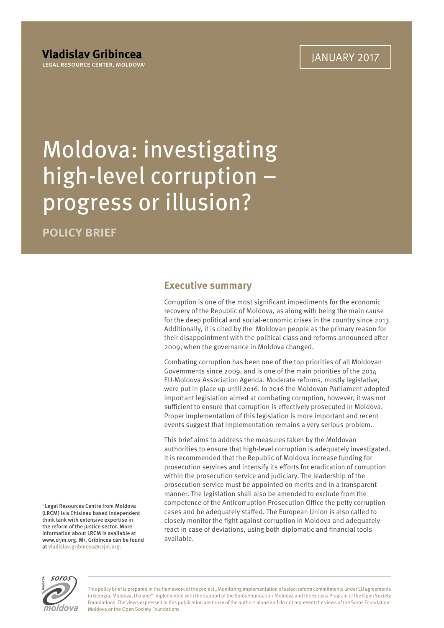## Moldova: investigating high-level corruption – progress or illusion?

**POLICY BRIEF**

### **Executive summary**

Corruption is one of the most significant impediments for the economic recovery of the Republic of Moldova, as along with being the main cause for the deep political and social-economic crises in the country since 2013. Additionally, it is cited by the Moldovan people as the primary reason for their disappointment with the political class and reforms announced after 2009, when the governance in Moldova changed.

Combating corruption has been one of the top priorities of all Moldovan Governments since 2009, and is one of the main priorities of the 2014 EU-Moldova Association Agenda. Moderate reforms, mostly legislative, were put in place up until 2016. In 2016 the Moldovan Parliament adopted important legislation aimed at combating corruption, however, it was not sufficient to ensure that corruption is effectively prosecuted in Moldova. Proper implementation of this legislation is more important and recent events suggest that implementation remains a very serious problem.

This brief aims to address the measures taken by the Moldovan authorities to ensure that high-level corruption is adequately investigated. It is recommended that the Republic of Moldova increase funding for prosecution services and intensify its efforts for eradication of corruption within the prosecution service and judiciary. The leadership of the prosecution service must be appointed on merits and in a transparent manner. The legislation shall also be amended to exclude from the competence of the Anticorruption Prosecution Office the petty corruption cases and be adequately staffed. The European Union is also called to closely monitor the fight against corruption in Moldova and adequately react in case of deviations, using both diplomatic and financial tools available.

1 Legal Resources Centre from Moldova (LRCM) is a Chisinau based independent think tank with extensive expertise in the reform of the justice sector. More information about LRCM is available at www.crjm.org. Mr. Gribincea can be found at vladislav.gribincea@crjm.org.



This policy brief is prepared in the framework of the project "Monitoring implementation of select reform commitments under EU agreements in Georgia, Moldova, Ukraine" implemented with the support of the Soros Foundation-Moldova and the Eurasia Program of the Open Society Foundations. The views expressed in this publication are those of the authors alone and do not represent the views of the Soros Foundation-Moldova or the Open Society Foundations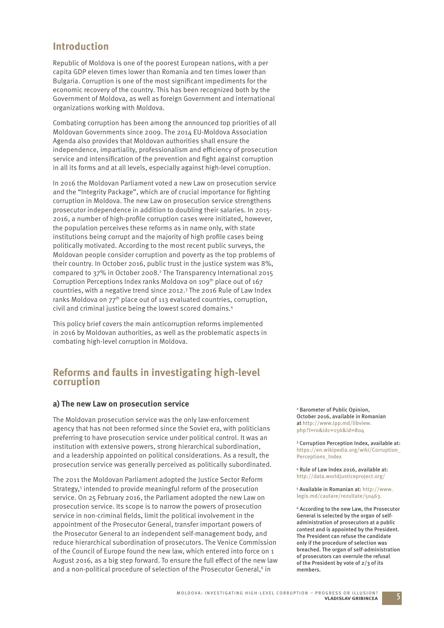## **Introduction**

Republic of Moldova is one of the poorest European nations, with a per capita GDP eleven times lower than Romania and ten times lower than Bulgaria. Corruption is one of the most significant impediments for the economic recovery of the country. This has been recognized both by the Government of Moldova, as well as foreign Government and international organizations working with Moldova.

Combating corruption has been among the announced top priorities of all Moldovan Governments since 2009. The 2014 EU-Moldova Association Agenda also provides that Moldovan authorities shall ensure the independence, impartiality, professionalism and efficiency of prosecution service and intensification of the prevention and fight against corruption in all its forms and at all levels, especially against high-level corruption.

In 2016 the Moldovan Parliament voted a new Law on prosecution service and the "Integrity Package", which are of crucial importance for fighting corruption in Moldova. The new Law on prosecution service strengthens prosecutor independence in addition to doubling their salaries. In 2015- 2016, a number of high-profile corruption cases were initiated, however, the population perceives these reforms as in name only, with state institutions being corrupt and the majority of high profile cases being politically motivated. According to the most recent public surveys, the Moldovan people consider corruption and poverty as the top problems of their country. In October 2016, public trust in the justice system was 8%, compared to 37% in October 2008.<sup>2</sup> The Transparency International 2015 Corruption Perceptions Index ranks Moldova on 109<sup>th</sup> place out of 167 countries, with a negative trend since 2012.3 The 2016 Rule of Law Index ranks Moldova on 77<sup>th</sup> place out of 113 evaluated countries, corruption, civil and criminal justice being the lowest scored domains.4

This policy brief covers the main anticorruption reforms implemented in 2016 by Moldovan authorities, as well as the problematic aspects in combating high-level corruption in Moldova.

### **Reforms and faults in investigating high-level corruption**

#### **a) The new Law on prosecution service**

The Moldovan prosecution service was the only law-enforcement agency that has not been reformed since the Soviet era, with politicians preferring to have prosecution service under political control. It was an institution with extensive powers, strong hierarchical subordination, and a leadership appointed on political considerations. As a result, the prosecution service was generally perceived as politically subordinated.

The 2011 the Moldovan Parliament adopted the Justice Sector Reform Strategy,<sup>5</sup> intended to provide meaningful reform of the prosecution service. On 25 February 2016, the Parliament adopted the new Law on prosecution service. Its scope is to narrow the powers of prosecution service in non-criminal fields, limit the political involvement in the appointment of the Prosecutor General, transfer important powers of the Prosecutor General to an independent self-management body, and reduce hierarchical subordination of prosecutors. The Venice Commission of the Council of Europe found the new law, which entered into force on 1 August 2016, as a big step forward. To ensure the full effect of the new law and a non-political procedure of selection of the Prosecutor General.<sup>6</sup> in

2 Barometer of Public Opinion, October 2016, available in Romanian at http://www.ipp.md/libview. php?l=ro&idc=156&id=804

3 Corruption Perception Index, available at: https://en.wikipedia.org/wiki/Corruption\_ Perceptions\_Index

4 Rule of Law Index 2016, available at: http://data.worldjusticeproject.org/

5 Available in Romanian at: http://www. legis.md/cautare/rezultate/50463.

6 According to the new Law, the Prosecutor General is selected by the organ of selfadministration of prosecutors at a public contest and is appointed by the President. The President can refuse the candidate only if the procedure of selection was breached. The organ of self-administration of prosecutors can overrule the refusal of the President by vote of 2/3 of its members.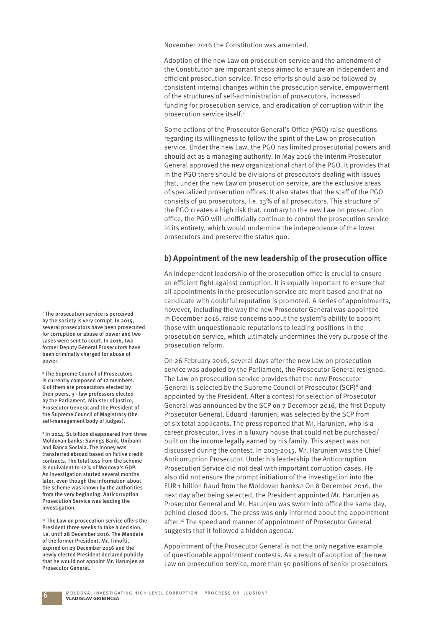November 2016 the Constitution was amended.

Adoption of the new Law on prosecution service and the amendment of the Constitution are important steps aimed to ensure an independent and efficient prosecution service. These efforts should also be followed by consistent internal changes within the prosecution service, empowerment of the structures of self-administration of prosecutors, increased funding for prosecution service, and eradication of corruption within the prosecution service itself.7

Some actions of the Prosecutor General's Office (PGO) raise questions regarding its willingness to follow the spirit of the Law on prosecution service. Under the new Law, the PGO has limited prosecutorial powers and should act as a managing authority. In May 2016 the interim Prosecutor General approved the new organizational chart of the PGO. It provides that in the PGO there should be divisions of prosecutors dealing with issues that, under the new Law on prosecution service, are the exclusive areas of specialized prosecution offices. It also states that the staff of the PGO consists of 90 prosecutors, i.e. 13% of all prosecutors. This structure of the PGO creates a high risk that, contrary to the new Law on prosecution office, the PGO will unofficially continue to control the prosecution service in its entirety, which would undermine the independence of the lower prosecutors and preserve the status quo.

#### **b) Appointment of the new leadership of the prosecution office**

An independent leadership of the prosecution office is crucial to ensure an efficient fight against corruption. It is equally important to ensure that all appointments in the prosecution service are merit based and that no candidate with doubtful reputation is promoted. A series of appointments, however, including the way the new Prosecutor General was appointed in December 2016, raise concerns about the system's ability to appoint those with unquestionable reputations to leading positions in the prosecution service, which ultimately undermines the very purpose of the prosecution reform.

On 26 February 2016, several days after the new Law on prosecution service was adopted by the Parliament, the Prosecutor General resigned. The Law on prosecution service provides that the new Prosecutor General is selected by the Supreme Council of Prosecutor (SCP)8 and appointed by the President. After a contest for selection of Prosecutor General was announced by the SCP on 7 December 2016, the first Deputy Prosecutor General, Eduard Harunjen, was selected by the SCP from of six total applicants. The press reported that Mr. Harunjen, who is a career prosecutor, lives in a luxury house that could not be purchased/ built on the income legally earned by his family. This aspect was not discussed during the contest. In 2013-2015, Mr. Harunjen was the Chief Anticorruption Prosecutor. Under his leadership the Anticorruption Prosecution Service did not deal with important corruption cases. He also did not ensure the prompt initiation of the investigation into the EUR 1 billion fraud from the Moldovan banks.<sup>9</sup> On 8 December 2016, the next day after being selected, the President appointed Mr. Harunjen as Prosecutor General and Mr. Harunjen was sworn into office the same day, behind closed doors. The press was only informed about the appointment after.<sup>10</sup> The speed and manner of appointment of Prosecutor General suggests that it followed a hidden agenda.

Appointment of the Prosecutor General is not the only negative example of questionable appointment contests. As a result of adoption of the new Law on prosecution service, more than 50 positions of senior prosecutors

7 The prosecution service is perceived by the society is very corrupt. In 2015, several prosecutors have been prosecuted for corruption or abuse of power and two cases were sent to court. In 2016, two former Deputy General Prosecutors have been criminally charged for abuse of power.

8 The Supreme Council of Prosecutors is currently composed of 12 members. 6 of them are prosecutors elected by their peers, 3 - law professors elected by the Parliament, Minister of Justice, Prosecutor General and the President of the Supreme Council of Magistracy (the self-management body of judges).

9 In 2014, \$1 billion disappeared from three Moldovan banks: Savings Bank, Unibank and Banca Sociala. The money was transferred abroad based on fictive credit contracts. The total loss from the scheme is equivalent to 12% of Moldova's GDP. An investigation started several months later, even though the information about the scheme was known by the authorities from the very beginning. Anticorruption Prosecution Service was leading the investigation.

<sup>10</sup> The Law on prosecution service offers the President three weeks to take a decision, i.e. until 28 December 2016. The Mandate of the former President, Mr. Timofti, expired on 23 December 2016 and the newly elected President declared publicly that he would not appoint Mr. Harunjen as Prosecutor General.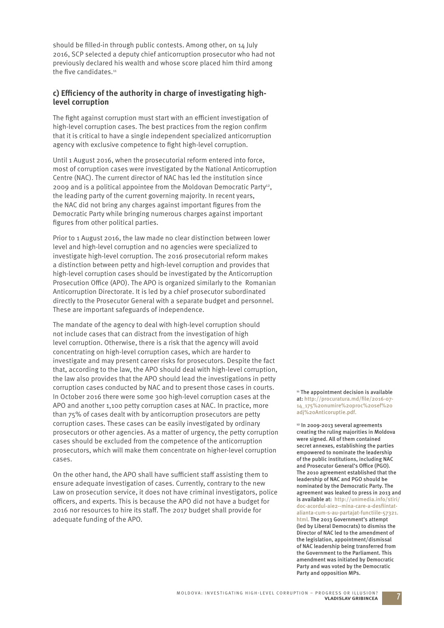should be filled-in through public contests. Among other, on 14 July 2016, SCP selected a deputy chief anticorruption prosecutor who had not previously declared his wealth and whose score placed him third among the five candidates. $11$ 

#### c) Efficiency of the authority in charge of investigating high**level corruption**

The fight against corruption must start with an efficient investigation of high-level corruption cases. The best practices from the region confirm that it is critical to have a single independent specialized anticorruption agency with exclusive competence to fight high-level corruption.

Until 1 August 2016, when the prosecutorial reform entered into force, most of corruption cases were investigated by the National Anticorruption Centre (NAC). The current director of NAC has led the institution since 2009 and is a political appointee from the Moldovan Democratic Party<sup>12</sup>, the leading party of the current governing majority. In recent years, the NAC did not bring any charges against important figures from the Democratic Party while bringing numerous charges against important figures from other political parties.

Prior to 1 August 2016, the law made no clear distinction between lower level and high-level corruption and no agencies were specialized to investigate high-level corruption. The 2016 prosecutorial reform makes a distinction between petty and high-level corruption and provides that high-level corruption cases should be investigated by the Anticorruption Prosecution Office (APO). The APO is organized similarly to the Romanian Anticorruption Directorate. It is led by a chief prosecutor subordinated directly to the Prosecutor General with a separate budget and personnel. These are important safeguards of independence.

The mandate of the agency to deal with high-level corruption should not include cases that can distract from the investigation of high level corruption. Otherwise, there is a risk that the agency will avoid concentrating on high-level corruption cases, which are harder to investigate and may present career risks for prosecutors. Despite the fact that, according to the law, the APO should deal with high-level corruption, the law also provides that the APO should lead the investigations in petty corruption cases conducted by NAC and to present those cases in courts. In October 2016 there were some 300 high-level corruption cases at the APO and another 1,100 petty corruption cases at NAC. In practice, more than 75% of cases dealt with by anticorruption prosecutors are petty corruption cases. These cases can be easily investigated by ordinary prosecutors or other agencies. As a matter of urgency, the petty corruption cases should be excluded from the competence of the anticorruption prosecutors, which will make them concentrate on higher-level corruption cases.

On the other hand, the APO shall have sufficient staff assisting them to ensure adequate investigation of cases. Currently, contrary to the new Law on prosecution service, it does not have criminal investigators, police officers, and experts. This is because the APO did not have a budget for 2016 nor resources to hire its staff . The 2017 budget shall provide for adequate funding of the APO.

 $11$  The appointment decision is available at: http://procuratura.md/file/2016-07-14\_175%20numire%20proc%20sef%20 adj%20Anticoruptie.pdf.

12 In 2009-2013 several agreements creating the ruling majorities in Moldova were signed. All of them contained secret annexes, establishing the parties empowered to nominate the leadership of the public institutions, including NAC and Prosecutor General's Office (PGO). The 2010 agreement established that the leadership of NAC and PGO should be nominated by the Democratic Party. The agreement was leaked to press in 2013 and is available at: http://unimedia.info/stiri/ doc-acordul-aie2--mina-care-a-desfiintatalianta-cum-s-au-partajat-functiile-57321. html. The 2013 Government's attempt (led by Liberal Democrats) to dismiss the Director of NAC led to the amendment of the legislation, appointment/dismissal of NAC leadership being transferred from the Government to the Parliament. This amendment was initiated by Democratic Party and was voted by the Democratic Party and opposition MPs.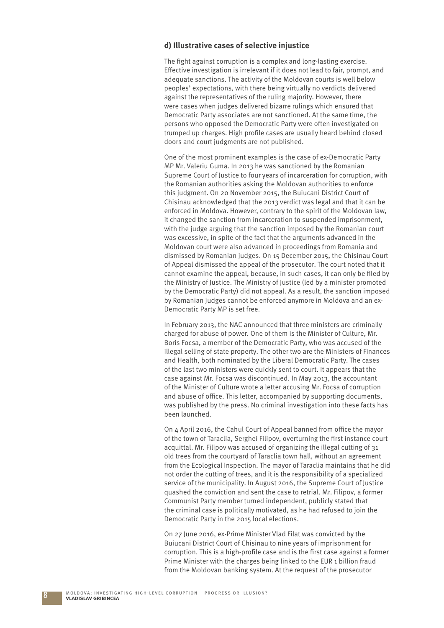#### **d) Illustrative cases of selective injustice**

The fight against corruption is a complex and long-lasting exercise. Effective investigation is irrelevant if it does not lead to fair, prompt, and adequate sanctions. The activity of the Moldovan courts is well below peoples' expectations, with there being virtually no verdicts delivered against the representatives of the ruling majority. However, there were cases when judges delivered bizarre rulings which ensured that Democratic Party associates are not sanctioned. At the same time, the persons who opposed the Democratic Party were often investigated on trumped up charges. High profile cases are usually heard behind closed doors and court judgments are not published.

One of the most prominent examples is the case of ex-Democratic Party MP Mr. Valeriu Guma. In 2013 he was sanctioned by the Romanian Supreme Court of Justice to four years of incarceration for corruption, with the Romanian authorities asking the Moldovan authorities to enforce this judgment. On 20 November 2015, the Buiucani District Court of Chisinau acknowledged that the 2013 verdict was legal and that it can be enforced in Moldova. However, contrary to the spirit of the Moldovan law, it changed the sanction from incarceration to suspended imprisonment, with the judge arguing that the sanction imposed by the Romanian court was excessive, in spite of the fact that the arguments advanced in the Moldovan court were also advanced in proceedings from Romania and dismissed by Romanian judges. On 15 December 2015, the Chisinau Court of Appeal dismissed the appeal of the prosecutor. The court noted that it cannot examine the appeal, because, in such cases, it can only be filed by the Ministry of Justice. The Ministry of Justice (led by a minister promoted by the Democratic Party) did not appeal. As a result, the sanction imposed by Romanian judges cannot be enforced anymore in Moldova and an ex-Democratic Party MP is set free.

In February 2013, the NAC announced that three ministers are criminally charged for abuse of power. One of them is the Minister of Culture, Mr. Boris Focsa, a member of the Democratic Party, who was accused of the illegal selling of state property. The other two are the Ministers of Finances and Health, both nominated by the Liberal Democratic Party. The cases of the last two ministers were quickly sent to court. It appears that the case against Mr. Focsa was discontinued. In May 2013, the accountant of the Minister of Culture wrote a letter accusing Mr. Focsa of corruption and abuse of office. This letter, accompanied by supporting documents, was published by the press. No criminal investigation into these facts has been launched.

On  $\Delta$  April 2016, the Cahul Court of Appeal banned from office the mayor of the town of Taraclia, Serghei Filipov, overturning the first instance court acquittal. Mr. Filipov was accused of organizing the illegal cutting of 31 old trees from the courtyard of Taraclia town hall, without an agreement from the Ecological Inspection. The mayor of Taraclia maintains that he did not order the cutting of trees, and it is the responsibility of a specialized service of the municipality. In August 2016, the Supreme Court of Justice quashed the conviction and sent the case to retrial. Mr. Filipov, a former Communist Party member turned independent, publicly stated that the criminal case is politically motivated, as he had refused to join the Democratic Party in the 2015 local elections.

On 27 June 2016, ex-Prime Minister Vlad Filat was convicted by the Buiucani District Court of Chisinau to nine years of imprisonment for corruption. This is a high-profile case and is the first case against a former Prime Minister with the charges being linked to the EUR 1 billion fraud from the Moldovan banking system. At the request of the prosecutor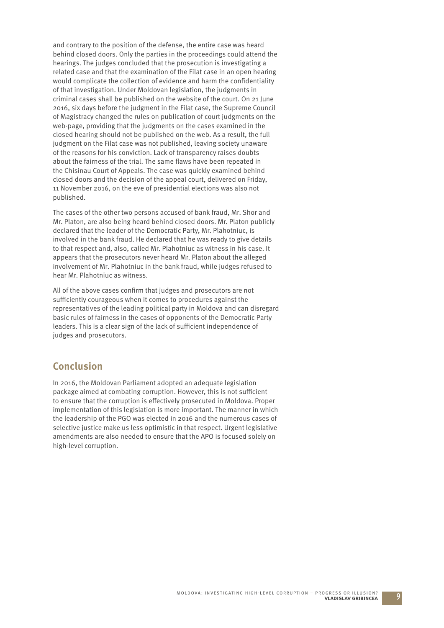and contrary to the position of the defense, the entire case was heard behind closed doors. Only the parties in the proceedings could attend the hearings. The judges concluded that the prosecution is investigating a related case and that the examination of the Filat case in an open hearing would complicate the collection of evidence and harm the confidentiality of that investigation. Under Moldovan legislation, the judgments in criminal cases shall be published on the website of the court. On 21 June 2016, six days before the judgment in the Filat case, the Supreme Council of Magistracy changed the rules on publication of court judgments on the web-page, providing that the judgments on the cases examined in the closed hearing should not be published on the web. As a result, the full judgment on the Filat case was not published, leaving society unaware of the reasons for his conviction. Lack of transparency raises doubts about the fairness of the trial. The same flaws have been repeated in the Chisinau Court of Appeals. The case was quickly examined behind closed doors and the decision of the appeal court, delivered on Friday, 11 November 2016, on the eve of presidential elections was also not published.

The cases of the other two persons accused of bank fraud, Mr. Shor and Mr. Platon, are also being heard behind closed doors. Mr. Platon publicly declared that the leader of the Democratic Party, Mr. Plahotniuc, is involved in the bank fraud. He declared that he was ready to give details to that respect and, also, called Mr. Plahotniuc as witness in his case. It appears that the prosecutors never heard Mr. Platon about the alleged involvement of Mr. Plahotniuc in the bank fraud, while judges refused to hear Mr. Plahotniuc as witness.

All of the above cases confirm that judges and prosecutors are not sufficiently courageous when it comes to procedures against the representatives of the leading political party in Moldova and can disregard basic rules of fairness in the cases of opponents of the Democratic Party leaders. This is a clear sign of the lack of sufficient independence of judges and prosecutors.

## **Conclusion**

In 2016, the Moldovan Parliament adopted an adequate legislation package aimed at combating corruption. However, this is not sufficient to ensure that the corruption is effectively prosecuted in Moldova. Proper implementation of this legislation is more important. The manner in which the leadership of the PGO was elected in 2016 and the numerous cases of selective justice make us less optimistic in that respect. Urgent legislative amendments are also needed to ensure that the APO is focused solely on high-level corruption.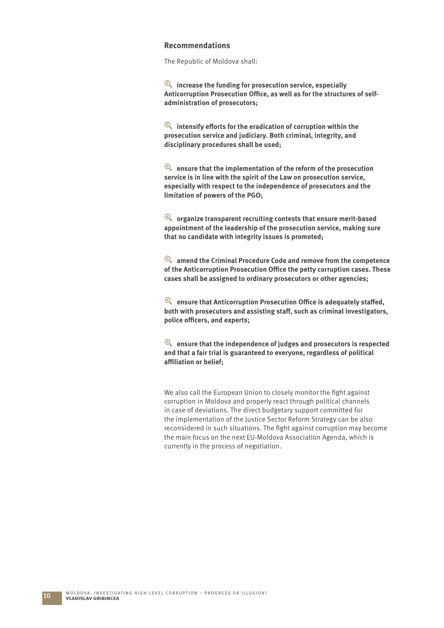#### **Recommendations**

The Republic of Moldova shall:

y **increase the funding for prosecution service, especially**  Anticorruption Prosecution Office, as well as for the structures of self**administration of prosecutors;**

 $^{\circledR}$  intensify efforts for the eradication of corruption within the **prosecution service and judiciary. Both criminal, integrity, and disciplinary procedures shall be used;**

y **ensure that the implementation of the reform of the prosecution service is in line with the spirit of the Law on prosecution service, especially with respect to the independence of prosecutors and the limitation of powers of the PGO;**

y **organize transparent recruiting contests that ensure merit-based appointment of the leadership of the prosecution service, making sure that no candidate with integrity issues is promoted;**

y **amend the Criminal Procedure Code and remove from the competence of the Anticorruption Prosecution Offi ce the petty corruption cases. These cases shall be assigned to ordinary prosecutors or other agencies;**

 $^{\circledR}$  ensure that Anticorruption Prosecution Office is adequately staffed, both with prosecutors and assisting staff, such as criminal investigators, **police offi cers, and experts;**

 $^{\circledR}$  ensure that the independence of judges and prosecutors is respected **and that a fair trial is guaranteed to everyone, regardless of political affi liation or belief;**

We also call the European Union to closely monitor the fight against corruption in Moldova and properly react through political channels in case of deviations. The direct budgetary support committed for the implementation of the Justice Sector Reform Strategy can be also reconsidered in such situations. The fight against corruption may become the main focus on the next EU-Moldova Association Agenda, which is currently in the process of negotiation.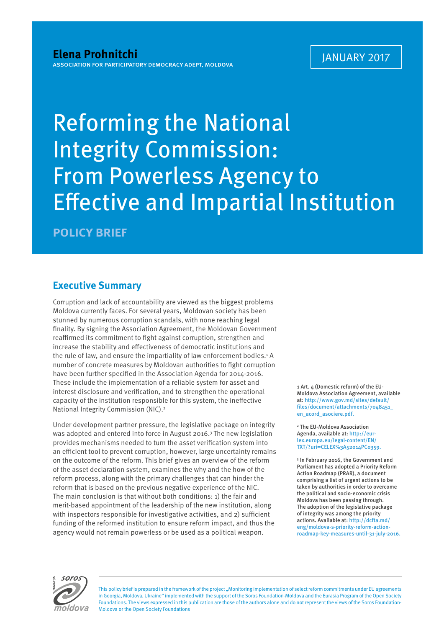## Reforming the National Integrity Commission: From Powerless Agency to **Effective and Impartial Institution**

**POLICY BRIEF**

## **Executive Summary**

Corruption and lack of accountability are viewed as the biggest problems Moldova currently faces. For several years, Moldovan society has been stunned by numerous corruption scandals, with none reaching legal finality. By signing the Association Agreement, the Moldovan Government reaffirmed its commitment to fight against corruption, strengthen and increase the stability and effectiveness of democratic institutions and the rule of law, and ensure the impartiality of law enforcement bodies.<sup>1</sup> A number of concrete measures by Moldovan authorities to fight corruption have been further specified in the Association Agenda for 2014-2016. These include the implementation of a reliable system for asset and interest disclosure and verification, and to strengthen the operational capacity of the institution responsible for this system, the ineffective National Integrity Commission (NIC).2

Under development partner pressure, the legislative package on integrity was adopted and entered into force in August 2016.<sup>3</sup> The new legislation provides mechanisms needed to turn the asset verification system into an efficient tool to prevent corruption, however, large uncertainty remains on the outcome of the reform. This brief gives an overview of the reform of the asset declaration system, examines the why and the how of the reform process, along with the primary challenges that can hinder the reform that is based on the previous negative experience of the NIC. The main conclusion is that without both conditions: 1) the fair and merit-based appointment of the leadership of the new institution, along with inspectors responsible for investigative activities, and 2) sufficient funding of the reformed institution to ensure reform impact, and thus the agency would not remain powerless or be used as a political weapon.

1 Art. 4 (Domestic reform) of the EU-Moldova Association Agreement, available at: http://www.gov.md/sites/default/ files/document/attachments/7048451\_ en\_acord\_asociere.pdf.

2 The EU-Moldova Association Agenda, available at: http://eurlex.europa.eu/legal-content/EN/ TXT/?uri=CELEX%3A52014PC0359.

3 In February 2016, the Government and Parliament has adopted a Priority Reform Action Roadmap (PRAR), a document comprising a list of urgent actions to be taken by authorities in order to overcome the political and socio-economic crisis Moldova has been passing through. The adoption of the legislative package of integrity was among the priority actions. Available at: http://dcfta.md/ eng/moldova-s-priority-reform-actionroadmap-key-measures-until-31-july-2016.



This policy brief is prepared in the framework of the project "Monitoring implementation of select reform commitments under EU agreements in Georgia, Moldova, Ukraine" implemented with the support of the Soros Foundation-Moldova and the Eurasia Program of the Open Society Foundations. The views expressed in this publication are those of the authors alone and do not represent the views of the Soros Foundation-Moldova or the Open Society Foundations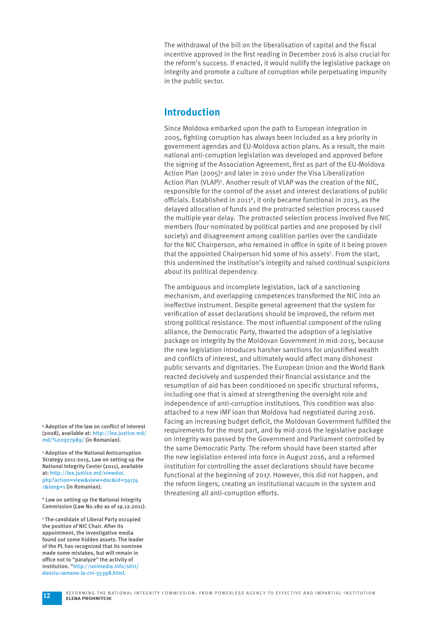The withdrawal of the bill on the liberalisation of capital and the fiscal incentive approved in the first reading in December 2016 is also crucial for the reform's success. If enacted, it would nullify the legislative package on integrity and promote a culture of corruption while perpetuating impunity in the public sector.

## **Introduction**

Since Moldova embarked upon the path to European integration in 2005, fighting corruption has always been included as a key priority in government agendas and EU-Moldova action plans. As a result, the main national anti-corruption legislation was developed and approved before the signing of the Association Agreement, first as part of the EU-Moldova Action Plan (2005)4 and later in 2010 under the Visa Liberalization Action Plan (VLAP)<sup>5</sup>. Another result of VLAP was the creation of the NIC, responsible for the control of the asset and interest declarations of public officials. Established in 2011<sup>6</sup>, it only became functional in 2013, as the delayed allocation of funds and the protracted selection process caused the multiple year delay. The protracted selection process involved five NIC members (four nominated by political parties and one proposed by civil society) and disagreement among coalition parties over the candidate for the NIC Chairperson, who remained in office in spite of it being proven that the appointed Chairperson hid some of his assets<sup>7</sup>. From the start, this undermined the institution's integrity and raised continual suspicions about its political dependency.

The ambiguous and incomplete legislation, lack of a sanctioning mechanism, and overlapping competences transformed the NIC into an ineffective instrument. Despite general agreement that the system for verification of asset declarations should be improved, the reform met strong political resistance. The most influential component of the ruling alliance, the Democratic Party, thwarted the adoption of a legislative package on integrity by the Moldovan Government in mid-2015, because the new legislation introduces harsher sanctions for unjustified wealth and conflicts of interest, and ultimately would affect many dishonest public servants and dignitaries. The European Union and the World Bank reacted decisively and suspended their financial assistance and the resumption of aid has been conditioned on specific structural reforms, including one that is aimed at strengthening the oversight role and independence of anti-corruption institutions. This condition was also attached to a new IMF loan that Moldova had negotiated during 2016. Facing an increasing budget deficit, the Moldovan Government fulfilled the requirements for the most part, and by mid-2016 the legislative package on integrity was passed by the Government and Parliament controlled by the same Democratic Party. The reform should have been started after the new legislation entered into force in August 2016, and a reformed institution for controlling the asset declarations should have become functional at the beginning of 2017. However, this did not happen, and the reform lingers, creating an institutional vacuum in the system and threatening all anti-corruption efforts.

<sup>4</sup> Adoption of the law on conflict of interest (2008), available at: http://lex.justice.md/ md/%20327989/ (in Romanian).

5 Adoption of the National Anticorruption Strategy 2011-2015, Law on setting up the National Integrity Center (2011), available at: http://lex.justice.md/viewdoc. php?action=view&view=doc&id=34174 1&lang=1 (in Romanian).

6 Law on setting up the National Integrity Commission (Law No.180 as of 19.12.2011).

7 The candidate of Liberal Party occupied the position of NIC Chair. After its appointment, the investigative media found out some hidden assets. The leader of the PL has recognized that its nominee made some mistakes, but will remain in office not to "paralyze" the activity of institution. "http://unimedia.info/stiri/ donciu-ramane-la-cni-55398.html.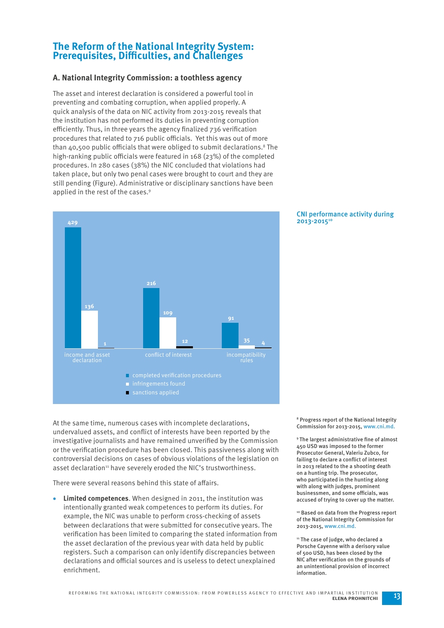## **The Reform of the National Integrity System: Prerequisites, Difficulties, and Challenges**

#### **A. National Integrity Commission: a toothless agency**

The asset and interest declaration is considered a powerful tool in preventing and combating corruption, when applied properly. A quick analysis of the data on NIC activity from 2013-2015 reveals that the institution has not performed its duties in preventing corruption efficiently. Thus, in three years the agency finalized 736 verification procedures that related to 716 public officials. Yet this was out of more than 40,500 public officials that were obliged to submit declarations.<sup>8</sup> The high-ranking public officials were featured in  $168$  (23%) of the completed procedures. In 280 cases (38%) the NIC concluded that violations had taken place, but only two penal cases were brought to court and they are still pending (Figure). Administrative or disciplinary sanctions have been applied in the rest of the cases.<sup>9</sup>



At the same time, numerous cases with incomplete declarations, undervalued assets, and conflict of interests have been reported by the investigative journalists and have remained unverified by the Commission or the verification procedure has been closed. This passiveness along with controversial decisions on cases of obvious violations of the legislation on asset declaration<sup>11</sup> have severely eroded the NIC's trustworthiness.

There were several reasons behind this state of affairs.

 **Limited competences**. When designed in 2011, the institution was intentionally granted weak competences to perform its duties. For example, the NIC was unable to perform cross-checking of assets between declarations that were submitted for consecutive years. The verification has been limited to comparing the stated information from the asset declaration of the previous year with data held by public registers. Such a comparison can only identify discrepancies between declarations and official sources and is useless to detect unexplained enrichment.

#### CNI performance activity during 2013-2015<sup>10</sup>

8 Progress report of the National Integrity Commission for 2013-2015, www.cni.md.

<sup>9</sup> The largest administrative fine of almost 450 USD was imposed to the former Prosecutor General, Valeriu Zubco, for failing to declare a conflict of interest in 2013 related to the a shooting death on a hunting trip. The prosecutor, who participated in the hunting along with along with judges, prominent businessmen, and some officials, was accused of trying to cover up the matter.

10 Based on data from the Progress report of the National Integrity Commission for 2013-2015, www.cni.md.

<sup>11</sup> The case of judge, who declared a Porsche Cayenne with a derisory value of 500 USD, has been closed by the NIC after verification on the grounds of an unintentional provision of incorrect information.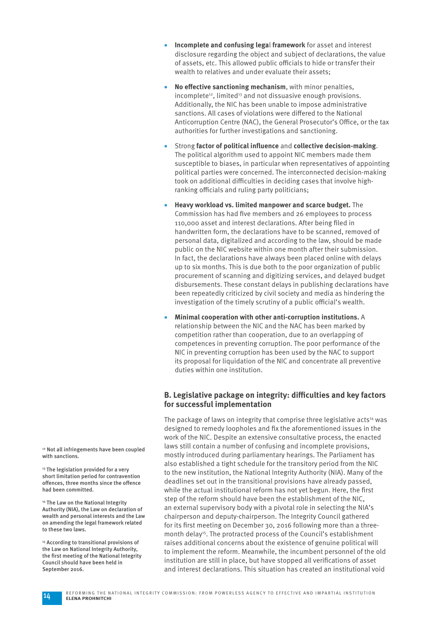- **Incomplete and confusing lega**l **framework** for asset and interest disclosure regarding the object and subject of declarations, the value of assets, etc. This allowed public officials to hide or transfer their wealth to relatives and under evaluate their assets;
- **No effective sanctioning mechanism**, with minor penalties, incomplete<sup>12</sup>, limited<sup>13</sup> and not dissuasive enough provisions. Additionally, the NIC has been unable to impose administrative sanctions. All cases of violations were differed to the National Anticorruption Centre (NAC), the General Prosecutor's Office, or the tax authorities for further investigations and sanctioning.
- Strong **factor of political influence** and **collective decision-making**. The political algorithm used to appoint NIC members made them susceptible to biases, in particular when representatives of appointing political parties were concerned. The interconnected decision-making took on additional difficulties in deciding cases that involve highranking officials and ruling party politicians;
- **Heavy workload vs. limited manpower and scarce budget.** The Commission has had five members and 26 employees to process 110,000 asset and interest declarations. After being filed in handwritten form, the declarations have to be scanned, removed of personal data, digitalized and according to the law, should be made public on the NIC website within one month after their submission. In fact, the declarations have always been placed online with delays up to six months. This is due both to the poor organization of public procurement of scanning and digitizing services, and delayed budget disbursements. These constant delays in publishing declarations have been repeatedly criticized by civil society and media as hindering the investigation of the timely scrutiny of a public official's wealth.
- **Minimal cooperation with other anti-corruption institutions.** A relationship between the NIC and the NAC has been marked by competition rather than cooperation, due to an overlapping of competences in preventing corruption. The poor performance of the NIC in preventing corruption has been used by the NAC to support its proposal for liquidation of the NIC and concentrate all preventive duties within one institution.

#### **B. Legislative package on integrity: difficulties and key factors for successful implementation**

The package of laws on integrity that comprise three legislative acts<sup>14</sup> was designed to remedy loopholes and fix the aforementioned issues in the work of the NIC. Despite an extensive consultative process, the enacted laws still contain a number of confusing and incomplete provisions, mostly introduced during parliamentary hearings. The Parliament has also established a tight schedule for the transitory period from the NIC to the new institution, the National Integrity Authority (NIA). Many of the deadlines set out in the transitional provisions have already passed, while the actual institutional reform has not vet begun. Here, the first step of the reform should have been the establishment of the NIC, an external supervisory body with a pivotal role in selecting the NIA's chairperson and deputy-chairperson. The Integrity Council gathered for its first meeting on December 30, 2016 following more than a threemonth delay<sup>15</sup>. The protracted process of the Council's establishment raises additional concerns about the existence of genuine political will to implement the reform. Meanwhile, the incumbent personnel of the old institution are still in place, but have stopped all verifications of asset and interest declarations. This situation has created an institutional void

12 Not all infringements have been coupled with sanctions.

<sup>13</sup> The legislation provided for a very short limitation period for contravention offences, three months since the offence had been committed.

14 The Law on the National Integrity Authority (NIA), the Law on declaration of wealth and personal interests and the Law on amending the legal framework related to these two laws.

<sup>15</sup> According to transitional provisions of the Law on National Integrity Authority, the first meeting of the National Integrity Council should have been held in September 2016.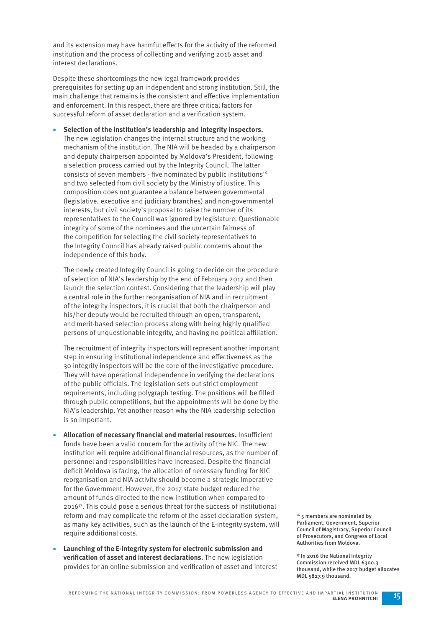and its extension may have harmful effects for the activity of the reformed institution and the process of collecting and verifying 2016 asset and interest declarations.

Despite these shortcomings the new legal framework provides prerequisites for setting up an independent and strong institution. Still, the main challenge that remains is the consistent and effective implementation and enforcement. In this respect, there are three critical factors for successful reform of asset declaration and a verification system.

 **Selection of the institution's leadership and integrity inspectors.**  The new legislation changes the internal structure and the working mechanism of the institution. The NIA will be headed by a chairperson and deputy chairperson appointed by Moldova's President, following a selection process carried out by the Integrity Council. The latter consists of seven members - five nominated by public institutions<sup>16</sup> and two selected from civil society by the Ministry of Justice. This composition does not guarantee a balance between governmental (legislative, executive and judiciary branches) and non-governmental interests, but civil society's proposal to raise the number of its representatives to the Council was ignored by legislature. Questionable integrity of some of the nominees and the uncertain fairness of the competition for selecting the civil society representatives to the Integrity Council has already raised public concerns about the independence of this body.

 The newly created Integrity Council is going to decide on the procedure of selection of NIA's leadership by the end of February 2017 and then launch the selection contest. Considering that the leadership will play a central role in the further reorganisation of NIA and in recruitment of the integrity inspectors, it is crucial that both the chairperson and his/her deputy would be recruited through an open, transparent, and merit-based selection process along with being highly qualified persons of unquestionable integrity, and having no political affiliation.

 The recruitment of integrity inspectors will represent another important step in ensuring institutional independence and effectiveness as the 30 integrity inspectors will be the core of the investigative procedure. They will have operational independence in verifying the declarations of the public officials. The legislation sets out strict employment requirements, including polygraph testing. The positions will be filled through public competitions, but the appointments will be done by the NIA's leadership. Yet another reason why the NIA leadership selection is so important.

- **Allocation of necessary financial and material resources.** Insufficient funds have been a valid concern for the activity of the NIC. The new institution will require additional financial resources, as the number of personnel and responsibilities have increased. Despite the financial deficit Moldova is facing, the allocation of necessary funding for NIC reorganisation and NIA activity should become a strategic imperative for the Government. However, the 2017 state budget reduced the amount of funds directed to the new institution when compared to 201617. This could pose a serious threat for the success of institutional reform and may complicate the reform of the asset declaration system, as many key activities, such as the launch of the E-integrity system, will require additional costs.
- **Launching of the E-integrity system for electronic submission and**  verification of asset and interest declarations. The new legislation provides for an online submission and verification of asset and interest

16 5 members are nominated by Parliament, Government, Superior Council of Magistracy, Superior Council of Prosecutors, and Congress of Local Authorities from Moldova.

<sup>17</sup> In 2016 the National Integrity Commission received MDL 6300.3 thousand, while the 2017 budget allocates MDL 5827.9 thousand.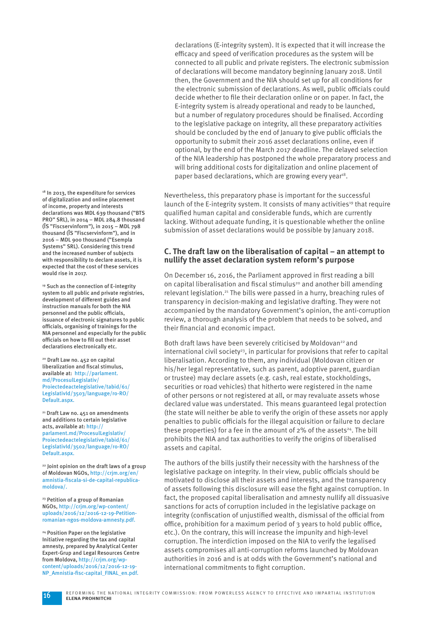declarations (E-integrity system). It is expected that it will increase the efficacy and speed of verification procedures as the system will be connected to all public and private registers. The electronic submission of declarations will become mandatory beginning January 2018. Until then, the Government and the NIA should set up for all conditions for the electronic submission of declarations. As well, public officials could decide whether to file their declaration online or on paper. In fact, the E-integrity system is already operational and ready to be launched, but a number of regulatory procedures should be finalised. According to the legislative package on integrity, all these preparatory activities should be concluded by the end of January to give public officials the opportunity to submit their 2016 asset declarations online, even if optional, by the end of the March 2017 deadline. The delayed selection of the NIA leadership has postponed the whole preparatory process and will bring additional costs for digitalization and online placement of paper based declarations, which are growing every year<sup>18</sup>.

Nevertheless, this preparatory phase is important for the successful launch of the E-integrity system. It consists of many activities<sup>19</sup> that require qualified human capital and considerable funds, which are currently lacking. Without adequate funding, it is questionable whether the online submission of asset declarations would be possible by January 2018.

#### **C. The draft law on the liberalisation of capital – an attempt to nullify the asset declaration system reform's purpose**

On December 16, 2016, the Parliament approved in first reading a bill on capital liberalisation and fiscal stimulus<sup>20</sup> and another bill amending relevant legislation.<sup>21</sup> The bills were passed in a hurry, breaching rules of transparency in decision-making and legislative drafting. They were not accompanied by the mandatory Government's opinion, the anti-corruption review, a thorough analysis of the problem that needs to be solved, and their financial and economic impact.

Both draft laws have been severely criticised by Moldovan<sup>22</sup> and  $i$ nternational civil society<sup>23</sup>, in particular for provisions that refer to capital liberalisation. According to them, any individual (Moldovan citizen or his/her legal representative, such as parent, adoptive parent, guardian or trustee) may declare assets (e.g. cash, real estate, stockholdings, securities or road vehicles) that hitherto were registered in the name of other persons or not registered at all, or may revaluate assets whose declared value was understated. This means guaranteed legal protection (the state will neither be able to verify the origin of these assets nor apply penalties to public officials for the illegal acquisition or failure to declare these properties) for a fee in the amount of  $2\%$  of the assets<sup>24</sup>. The bill prohibits the NIA and tax authorities to verify the origins of liberalised assets and capital.

The authors of the bills justify their necessity with the harshness of the legislative package on integrity. In their view, public officials should be motivated to disclose all their assets and interests, and the transparency of assets following this disclosure will ease the fight against corruption. In fact, the proposed capital liberalisation and amnesty nullify all dissuasive sanctions for acts of corruption included in the legislative package on integrity (confiscation of unjustified wealth, dismissal of the official from office, prohibition for a maximum period of  $3$  years to hold public office, etc.). On the contrary, this will increase the impunity and high-level corruption. The interdiction imposed on the NIA to verify the legalised assets compromises all anti-corruption reforms launched by Moldovan authorities in 2016 and is at odds with the Government's national and international commitments to fight corruption.

<sup>18</sup> In 2013, the expenditure for services of digitalization and online placement of income, property and interests declarations was MDL 639 thousand ("BTS PRO" SRL), in 2014 – MDL 284.8 thousand (ÎS "Fiscservinform"), in 2015 – MDL 798 thousand (ÎS "Fiscservinform"), and in 2016 – MDL 900 thousand ("Esempla Systems" SRL). Considering this trend and the increased number of subjects with responsibility to declare assets, it is expected that the cost of these services would rise in 2017.

19 Such as the connection of E-integrity system to all public and private registries, development of different guides and instruction manuals for both the NIA personnel and the public officials, issuance of electronic signatures to public officials, organising of trainings for the NIA personnel and especially for the public officials on how to fill out their asset declarations electronically etc.

<sup>20</sup> Draft Law no. 452 on capital liberalization and fiscal stimulus, available at: http://parlament. md/ProcesulLegislativ/ Proiectedeactelegislative/tabid/61/ LegislativId/3503/language/ro-RO/ Default.aspx.

<sup>21</sup> Draft Law no. 451 on amendments and additions to certain legislative acts, available at: http:// parlament.md/ProcesulLegislativ/ Proiectedeactelegislative/tabid/61/ LegislativId/3502/language/ro-RO/ Default.aspx.

22 Joint opinion on the draft laws of a group of Moldovan NGOs, http://crjm.org/en/ amnistia-fiscala-si-de-capital-republicamoldova/.

<sup>23</sup> Petition of a group of Romanian NGOs, http://crjm.org/wp-content/ uploads/2016/12/2016-12-19-Petitionromanian-ngos-moldova-amnesty.pdf.

24 Position Paper on the legislative Initiative regarding the tax and capital amnesty, prepared by Analytical Center Expert-Grup and Legal Resources Centre from Moldova, http://crjm.org/wpcontent/uploads/2016/12/2016-12-19- NP\_Amnistia-fisc-capital\_FINAL\_en.pdf.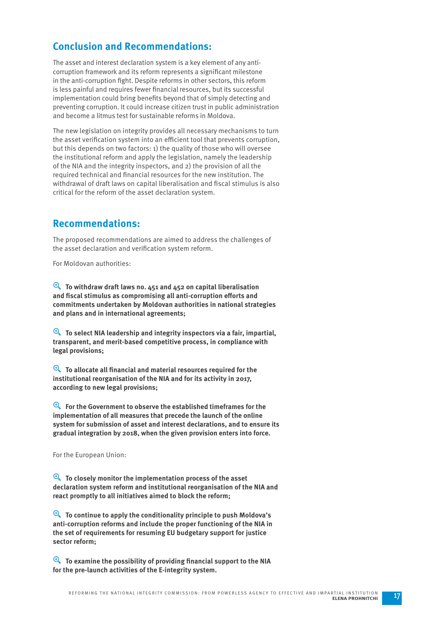## **Conclusion and Recommendations:**

The asset and interest declaration system is a key element of any anticorruption framework and its reform represents a significant milestone in the anti-corruption fight. Despite reforms in other sectors, this reform is less painful and requires fewer financial resources, but its successful implementation could bring benefits beyond that of simply detecting and preventing corruption. It could increase citizen trust in public administration and become a litmus test for sustainable reforms in Moldova.

The new legislation on integrity provides all necessary mechanisms to turn the asset verification system into an efficient tool that prevents corruption, but this depends on two factors: 1) the quality of those who will oversee the institutional reform and apply the legislation, namely the leadership of the NIA and the integrity inspectors, and 2) the provision of all the required technical and financial resources for the new institution. The withdrawal of draft laws on capital liberalisation and fiscal stimulus is also critical for the reform of the asset declaration system.

## **Recommendations:**

The proposed recommendations are aimed to address the challenges of the asset declaration and verification system reform.

For Moldovan authorities:

y **To withdraw draft laws no. 451 and 452 on capital liberalisation**  and fiscal stimulus as compromising all anti-corruption efforts and **commitments undertaken by Moldovan authorities in national strategies and plans and in international agreements;**

y **To select NIA leadership and integrity inspectors via a fair, impartial, transparent, and merit-based competitive process, in compliance with legal provisions;**

**E** To allocate all financial and material resources required for the **institutional reorganisation of the NIA and for its activity in 2017, according to new legal provisions;**

y **For the Government to observe the established timeframes for the implementation of all measures that precede the launch of the online system for submission of asset and interest declarations, and to ensure its gradual integration by 2018, when the given provision enters into force.**

For the European Union:

y **To closely monitor the implementation process of the asset declaration system reform and institutional reorganisation of the NIA and react promptly to all initiatives aimed to block the reform;**

y **To continue to apply the conditionality principle to push Moldova's anti-corruption reforms and include the proper functioning of the NIA in the set of requirements for resuming EU budgetary support for justice sector reform;**

**E** To examine the possibility of providing financial support to the NIA **for the pre-launch activities of the E-integrity system.**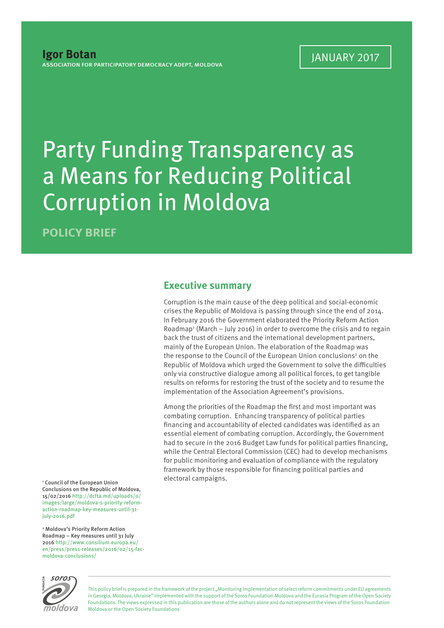## Party Funding Transparency as a Means for Reducing Political Corruption in Moldova

**POLICY BRIEF**

### **Executive summary**

Corruption is the main cause of the deep political and social-economic crises the Republic of Moldova is passing through since the end of 2014. In February 2016 the Government elaborated the Priority Reform Action Roadmap<sup>1</sup> (March - July 2016) in order to overcome the crisis and to regain back the trust of citizens and the international development partners, mainly of the European Union. The elaboration of the Roadmap was the response to the Council of the European Union conclusions<sup>2</sup> on the Republic of Moldova which urged the Government to solve the difficulties only via constructive dialogue among all political forces, to get tangible results on reforms for restoring the trust of the society and to resume the implementation of the Association Agreement's provisions.

Among the priorities of the Roadmap the first and most important was combating corruption. Enhancing transparency of political parties financing and accountability of elected candidates was identified as an essential element of combating corruption. Accordingly, the Government had to secure in the 2016 Budget Law funds for political parties financing, while the Central Electoral Commission (CEC) had to develop mechanisms for public monitoring and evaluation of compliance with the regulatory framework by those responsible for financing political parties and electoral campaigns.

1 Council of the European Union Conclusions on the Republic of Moldova, 15/02/2016 http://dcfta.md/uploads/0/ images/large/moldova-s-priority-reformaction-roadmap-key-measures-until-31 july-2016.pdf

2 Moldova's Priority Reform Action Roadmap – Key measures until 31 July 2016 http://www.consilium.europa.eu/ en/press/press-releases/2016/02/15-facmoldova-conclusions/



This policy brief is prepared in the framework of the project "Monitoring implementation of select reform commitments under EU agreements in Georgia, Moldova, Ukraine" implemented with the support of the Soros Foundation-Moldova and the Eurasia Program of the Open Society Foundations. The views expressed in this publication are those of the authors alone and do not represent the views of the Soros Foundation-Moldova or the Open Society Foundations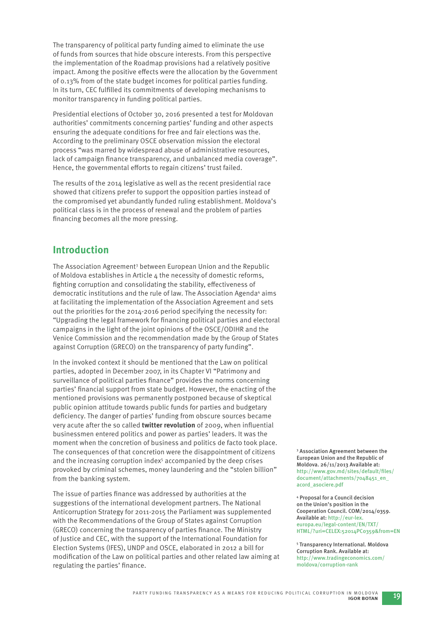The transparency of political party funding aimed to eliminate the use of funds from sources that hide obscure interests. From this perspective the implementation of the Roadmap provisions had a relatively positive impact. Among the positive effects were the allocation by the Government of 0.13% from of the state budget incomes for political parties funding. In its turn, CEC fulfilled its commitments of developing mechanisms to monitor transparency in funding political parties.

Presidential elections of October 30, 2016 presented a test for Moldovan authorities' commitments concerning parties' funding and other aspects ensuring the adequate conditions for free and fair elections was the. According to the preliminary OSCE observation mission the electoral process "was marred by widespread abuse of administrative resources, lack of campaign finance transparency, and unbalanced media coverage". Hence, the governmental efforts to regain citizens' trust failed.

The results of the 2014 legislative as well as the recent presidential race showed that citizens prefer to support the opposition parties instead of the compromised yet abundantly funded ruling establishment. Moldova's political class is in the process of renewal and the problem of parties financing becomes all the more pressing.

## **Introduction**

The Association Agreement<sup>3</sup> between European Union and the Republic of Moldova establishes in Article 4 the necessity of domestic reforms, fighting corruption and consolidating the stability, effectiveness of democratic institutions and the rule of law. The Association Agenda<sup>4</sup> aims at facilitating the implementation of the Association Agreement and sets out the priorities for the 2014-2016 period specifying the necessity for: "Upgrading the legal framework for financing political parties and electoral campaigns in the light of the joint opinions of the OSCE/ODIHR and the Venice Commission and the recommendation made by the Group of States against Corruption (GRECO) on the transparency of party funding".

In the invoked context it should be mentioned that the Law on political parties, adopted in December 2007, in its Chapter VI "Patrimony and surveillance of political parties finance" provides the norms concerning parties' financial support from state budget. However, the enacting of the mentioned provisions was permanently postponed because of skeptical public opinion attitude towards public funds for parties and budgetary deficiency. The danger of parties' funding from obscure sources became very acute after the so called **twitter revolution** of 2009, when influential businessmen entered politics and power as parties' leaders. It was the moment when the concretion of business and politics de facto took place. The consequences of that concretion were the disappointment of citizens and the increasing corruption index<sup>5</sup> accompanied by the deep crises provoked by criminal schemes, money laundering and the "stolen billion" from the banking system.

The issue of parties finance was addressed by authorities at the suggestions of the international development partners. The National Anticorruption Strategy for 2011-2015 the Parliament was supplemented with the Recommendations of the Group of States against Corruption (GRECO) concerning the transparency of parties finance. The Ministry of Justice and CEC, with the support of the International Foundation for Election Systems (IFES), UNDP and OSCE, elaborated in 2012 a bill for modification of the Law on political parties and other related law aiming at regulating the parties' finance.

3 Association Agreement between the European Union and the Republic of Moldova. 26/11/2013 Available at: http://www.gov.md/sites/default/files/ document/attachments/7048451\_en\_ acord\_asociere.pdf

4 Proposal for a Council decision on the Union's position in the Cooperation Council. COM/2014/0359. Available at: http://eur-lex. europa.eu/legal-content/EN/TXT/ HTML/?uri=CELEX:52014PC0359&from=EN

5 Transparency International. Moldova Corruption Rank. Available at: http://www.tradingeconomics.com/ moldova/corruption-rank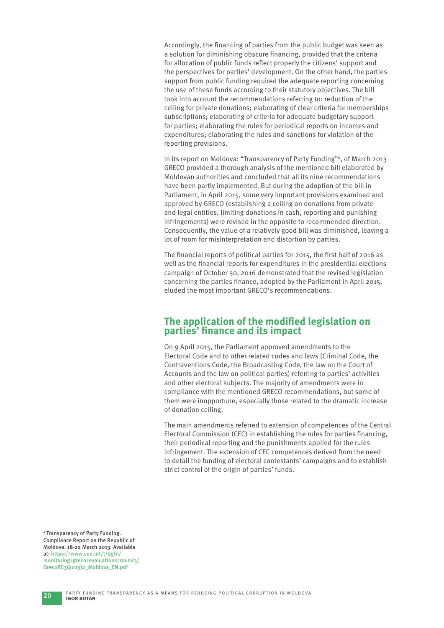Accordingly, the financing of parties from the public budget was seen as a solution for diminishing obscure financing, provided that the criteria for allocation of public funds reflect properly the citizens' support and the perspectives for parties' development. On the other hand, the parties support from public funding required the adequate reporting concerning the use of these funds according to their statutory objectives. The bill took into account the recommendations referring to: reduction of the ceiling for private donations; elaborating of clear criteria for memberships subscriptions; elaborating of criteria for adequate budgetary support for parties; elaborating the rules for periodical reports on incomes and expenditures; elaborating the rules and sanctions for violation of the reporting provisions.

In its report on Moldova: "Transparency of Party Funding"6, of March 2013 GRECO provided a thorough analysis of the mentioned bill elaborated by Moldovan authorities and concluded that all its nine recommendations have been partly implemented. But during the adoption of the bill in Parliament, in April 2015, some very important provisions examined and approved by GRECO (establishing a ceiling on donations from private and legal entities, limiting donations in cash, reporting and punishing infringements) were revised in the opposite to recommended direction. Consequently, the value of a relatively good bill was diminished, leaving a lot of room for misinterpretation and distortion by parties.

The financial reports of political parties for 2015, the first half of 2016 as well as the financial reports for expenditures in the presidential elections campaign of October 30, 2016 demonstrated that the revised legislation concerning the parties finance, adopted by the Parliament in April 2015, eluded the most important GRECO's recommendations.

## The application of the modified legislation on parties' finance and its impact

On 9 April 2015, the Parliament approved amendments to the Electoral Code and to other related codes and laws (Criminal Code, the Contraventions Code, the Broadcasting Code, the law on the Court of Accounts and the law on political parties) referring to parties' activities and other electoral subjects. The majority of amendments were in compliance with the mentioned GRECO recommendations, but some of them were inopportune, especially those related to the dramatic increase of donation ceiling.

The main amendments referred to extension of competences of the Central Electoral Commission (CEC) in establishing the rules for parties financing, their periodical reporting and the punishments applied for the rules infringement. The extension of CEC competences derived from the need to detail the funding of electoral contestants' campaigns and to establish strict control of the origin of parties' funds.

<sup>6</sup> Transparency of Party Funding. Compliance Report on the Republic of Moldova. 18-22 March 2013. Available at: https://www.coe.int/t/dghl/ monitoring/greco/evaluations/round3/ GrecoRC3(2013)2\_Moldova\_EN.pdf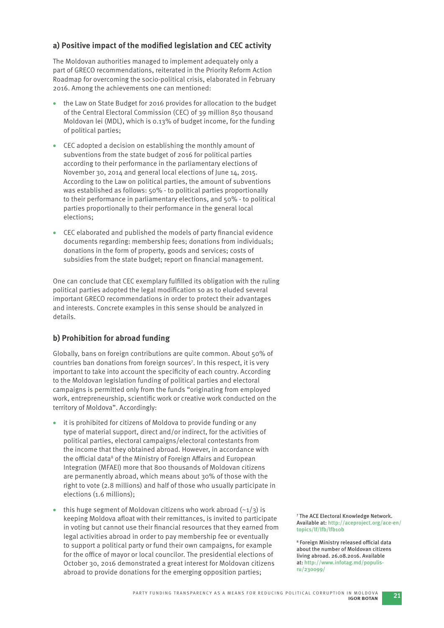#### a) Positive impact of the modified legislation and CEC activity

The Moldovan authorities managed to implement adequately only a part of GRECO recommendations, reiterated in the Priority Reform Action Roadmap for overcoming the socio-political crisis, elaborated in February 2016. Among the achievements one can mentioned:

- the Law on State Budget for 2016 provides for allocation to the budget of the Central Electoral Commission (CEC) of 39 million 850 thousand Moldovan lei (MDL), which is 0.13% of budget income, for the funding of political parties;
- CEC adopted a decision on establishing the monthly amount of subventions from the state budget of 2016 for political parties according to their performance in the parliamentary elections of November 30, 2014 and general local elections of June 14, 2015. According to the Law on political parties, the amount of subventions was established as follows: 50% - to political parties proportionally to their performance in parliamentary elections, and 50% - to political parties proportionally to their performance in the general local elections;
- CEC elaborated and published the models of party financial evidence documents regarding: membership fees; donations from individuals; donations in the form of property, goods and services; costs of subsidies from the state budget; report on financial management.

One can conclude that CEC exemplary fulfilled its obligation with the ruling political parties adopted the legal modification so as to eluded several important GRECO recommendations in order to protect their advantages and interests. Concrete examples in this sense should be analyzed in details.

#### **b) Prohibition for abroad funding**

Globally, bans on foreign contributions are quite common. About 50% of countries ban donations from foreign sources7 . In this respect, it is very important to take into account the specificity of each country. According to the Moldovan legislation funding of political parties and electoral campaigns is permitted only from the funds "originating from employed work, entrepreneurship, scientific work or creative work conducted on the territory of Moldova". Accordingly:

- it is prohibited for citizens of Moldova to provide funding or any type of material support, direct and/or indirect, for the activities of political parties, electoral campaigns/electoral contestants from the income that they obtained abroad. However, in accordance with the official data<sup>8</sup> of the Ministry of Foreign Affairs and European Integration (MFAEI) more that 800 thousands of Moldovan citizens are permanently abroad, which means about 30% of those with the right to vote (2.8 millions) and half of those who usually participate in elections (1.6 millions);
- this huge segment of Moldovan citizens who work abroad  $(-1/3)$  is keeping Moldova afloat with their remittances, is invited to participate in voting but cannot use their financial resources that they earned from legal activities abroad in order to pay membership fee or eventually to support a political party or fund their own campaigns, for example for the office of mayor or local councilor. The presidential elections of October 30, 2016 demonstrated a great interest for Moldovan citizens abroad to provide donations for the emerging opposition parties;

7 The ACE Electoral Knowledge Network. Available at: http://aceproject.org/ace-en/ topics/lf/lfb/lfb10b

<sup>8</sup> Foreign Ministry released official data about the number of Moldovan citizens living abroad. 26.08.2016. Available at: http://www.infotag.md/populisru/230099/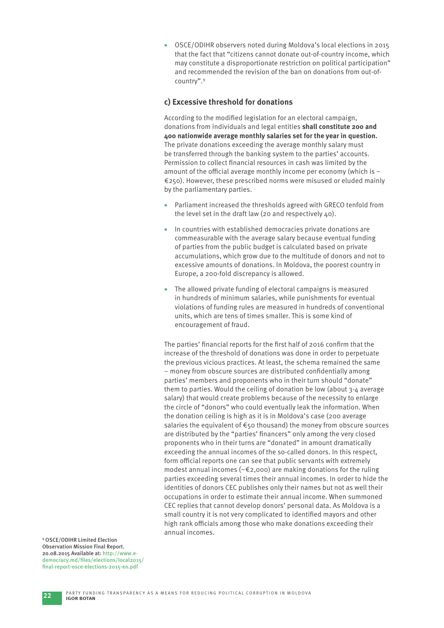OSCE/ODIHR observers noted during Moldova's local elections in 2015 that the fact that "citizens cannot donate out-of-country income, which may constitute a disproportionate restriction on political participation" and recommended the revision of the ban on donations from out-ofcountry".9

#### **c) Excessive threshold for donations**

According to the modified legislation for an electoral campaign, donations from individuals and legal entities **shall constitute 200 and 400 nationwide average monthly salaries set for the year in question.**  The private donations exceeding the average monthly salary must be transferred through the banking system to the parties' accounts. Permission to collect financial resources in cash was limited by the amount of the official average monthly income per economy (which is  $\sim$ €250). However, these prescribed norms were misused or eluded mainly by the parliamentary parties.

- Parliament increased the thresholds agreed with GRECO tenfold from the level set in the draft law (20 and respectively 40).
- In countries with established democracies private donations are commeasurable with the average salary because eventual funding of parties from the public budget is calculated based on private accumulations, which grow due to the multitude of donors and not to excessive amounts of donations. In Moldova, the poorest country in Europe, a 200-fold discrepancy is allowed.
- The allowed private funding of electoral campaigns is measured in hundreds of minimum salaries, while punishments for eventual violations of funding rules are measured in hundreds of conventional units, which are tens of times smaller. This is some kind of encouragement of fraud.

The parties' financial reports for the first half of 2016 confirm that the increase of the threshold of donations was done in order to perpetuate the previous vicious practices. At least, the schema remained the same – money from obscure sources are distributed confidentially among parties' members and proponents who in their turn should "donate" them to parties. Would the ceiling of donation be low (about 3-4 average salary) that would create problems because of the necessity to enlarge the circle of "donors" who could eventually leak the information. When the donation ceiling is high as it is in Moldova's case (200 average salaries the equivalent of €50 thousand) the money from obscure sources are distributed by the "parties' financers" only among the very closed proponents who in their turns are "donated" in amount dramatically exceeding the annual incomes of the so-called donors. In this respect, form official reports one can see that public servants with extremely modest annual incomes (~€2,000) are making donations for the ruling parties exceeding several times their annual incomes. In order to hide the identities of donors CEC publishes only their names but not as well their occupations in order to estimate their annual income. When summoned CEC replies that cannot develop donors' personal data. As Moldova is a small country it is not very complicated to identified mayors and other high rank officials among those who make donations exceeding their annual incomes.

9 OSCE/ODIHR Limited Election Observation Mission Final Report. 20.08.2015 Available at: http://www.edemocracy.md/files/elections/local2015/ final-report-osce-elections-2015-en.pdf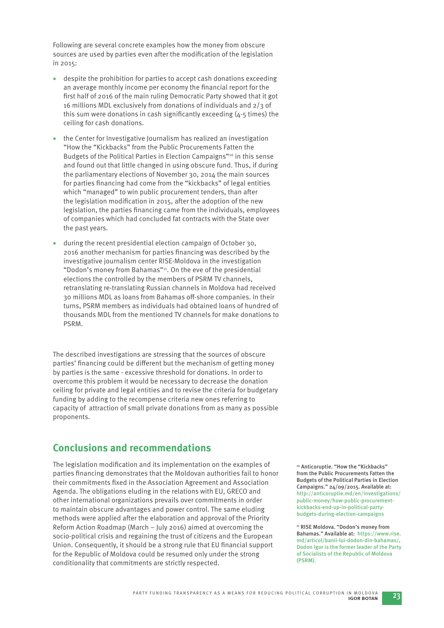Following are several concrete examples how the money from obscure sources are used by parties even after the modification of the legislation in 2015:

- despite the prohibition for parties to accept cash donations exceeding an average monthly income per economy the financial report for the first half of 2016 of the main ruling Democratic Party showed that it got 16 millions MDL exclusively from donations of individuals and 2/3 of this sum were donations in cash significantly exceeding  $(4-5 \times 1)$  times) the ceiling for cash donations.
- the Center for Investigative Journalism has realized an investigation "How the "Kickbacks" from the Public Procurements Fatten the Budgets of the Political Parties in Election Campaigns"10 in this sense and found out that little changed in using obscure fund. Thus, if during the parliamentary elections of November 30, 2014 the main sources for parties financing had come from the "kickbacks" of legal entities which "managed" to win public procurement tenders, than after the legislation modification in 2015, after the adoption of the new legislation, the parties financing came from the individuals, employees of companies which had concluded fat contracts with the State over the past years.
- during the recent presidential election campaign of October 30, 2016 another mechanism for parties financing was described by the investigative journalism center RISE-Moldova in the investigation "Dodon's money from Bahamas"11. On the eve of the presidential elections the controlled by the members of PSRM TV channels, retranslating re-translating Russian channels in Moldova had received 30 millions MDL as loans from Bahamas off -shore companies. In their turns, PSRM members as individuals had obtained loans of hundred of thousands MDL from the mentioned TV channels for make donations to PSRM.

The described investigations are stressing that the sources of obscure parties' financing could be different but the mechanism of getting money by parties is the same - excessive threshold for donations. In order to overcome this problem it would be necessary to decrease the donation ceiling for private and legal entities and to revise the criteria for budgetary funding by adding to the recompense criteria new ones referring to capacity of attraction of small private donations from as many as possible proponents.

## **Conclusions and recommendations**

The legislation modification and its implementation on the examples of parties financing demonstrates that the Moldovan authorities fail to honor their commitments fixed in the Association Agreement and Association Agenda. The obligations eluding in the relations with EU, GRECO and other international organizations prevails over commitments in order to maintain obscure advantages and power control. The same eluding methods were applied after the elaboration and approval of the Priority Reform Action Roadmap (March – July 2016) aimed at overcoming the socio-political crisis and regaining the trust of citizens and the European Union. Consequently, it should be a strong rule that EU financial support for the Republic of Moldova could be resumed only under the strong conditionality that commitments are strictly respected.

10 Anticoruptie. "How the "Kickbacks" from the Public Procurements Fatten the Budgets of the Political Parties in Election Campaigns." 24/09/2015. Available at: http://anticoruptie.md/en/investigations/ public-money/how-public-procurementkickbacks-end-up-in-political-partybudgets-during-election-campaigns

<sup>11</sup> RISE Moldova. "Dodon's money from Bahamas." Available at: https://www.rise. md/articol/banii-lui-dodon-din-bahamas/, Dodon Igor is the former leader of the Party of Socialists of the Republic of Moldova (PSRM).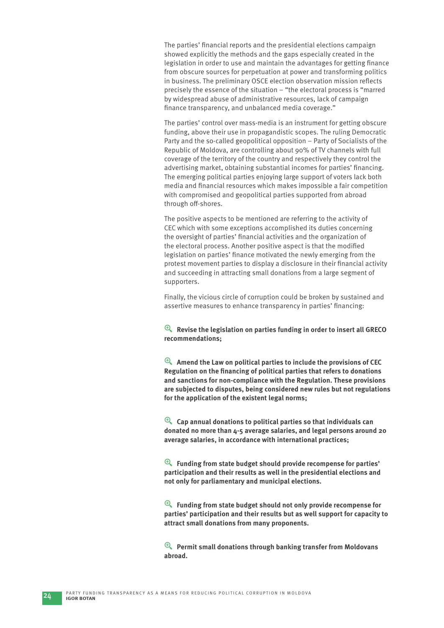The parties' financial reports and the presidential elections campaign showed explicitly the methods and the gaps especially created in the legislation in order to use and maintain the advantages for getting finance from obscure sources for perpetuation at power and transforming politics in business. The preliminary OSCE election observation mission reflects precisely the essence of the situation – "the electoral process is "marred by widespread abuse of administrative resources, lack of campaign finance transparency, and unbalanced media coverage."

The parties' control over mass-media is an instrument for getting obscure funding, above their use in propagandistic scopes. The ruling Democratic Party and the so-called geopolitical opposition – Party of Socialists of the Republic of Moldova, are controlling about 90% of TV channels with full coverage of the territory of the country and respectively they control the advertising market, obtaining substantial incomes for parties' financing. The emerging political parties enjoying large support of voters lack both media and financial resources which makes impossible a fair competition with compromised and geopolitical parties supported from abroad through off-shores.

The positive aspects to be mentioned are referring to the activity of CEC which with some exceptions accomplished its duties concerning the oversight of parties' financial activities and the organization of the electoral process. Another positive aspect is that the modified legislation on parties' finance motivated the newly emerging from the protest movement parties to display a disclosure in their financial activity and succeeding in attracting small donations from a large segment of supporters.

Finally, the vicious circle of corruption could be broken by sustained and assertive measures to enhance transparency in parties' financing:

y **Revise the legislation on parties funding in order to insert all GRECO recommendations;** 

y **Amend the Law on political parties to include the provisions of CEC Regulation on the financing of political parties that refers to donations and sanctions for non-compliance with the Regulation. These provisions are subjected to disputes, being considered new rules but not regulations for the application of the existent legal norms;** 

y **Cap annual donations to political parties so that individuals can donated no more than 4-5 average salaries, and legal persons around 20 average salaries, in accordance with international practices;** 

y **Funding from state budget should provide recompense for parties' participation and their results as well in the presidential elections and not only for parliamentary and municipal elections.** 

y **Funding from state budget should not only provide recompense for parties' participation and their results but as well support for capacity to attract small donations from many proponents.** 

y **Permit small donations through banking transfer from Moldovans abroad.**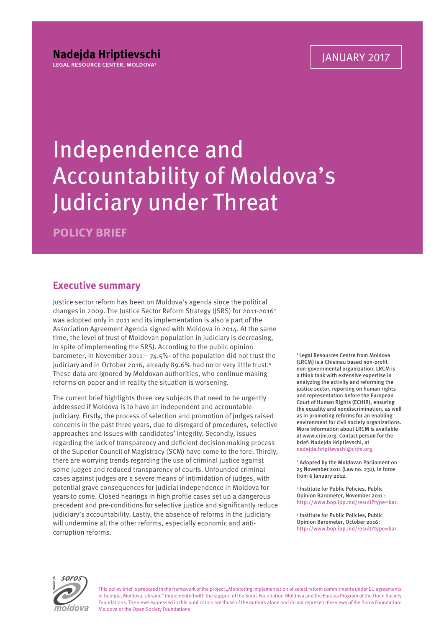## Independence and Accountability of Moldova's Judiciary under Threat

**POLICY BRIEF**

## **Executive summary**

Justice sector reform has been on Moldova's agenda since the political changes in 2009. The Justice Sector Reform Strategy (JSRS) for 2011-20162 was adopted only in 2011 and its implementation is also a part of the Association Agreement Agenda signed with Moldova in 2014. At the same time, the level of trust of Moldovan population in judiciary is decreasing, in spite of implementing the SRSJ. According to the public opinion barometer, in November 2011 – 74.5%<sup>3</sup> of the population did not trust the judiciary and in October 2016, already 89.6% had no or very little trust.<sup>4</sup> These data are ignored by Moldovan authorities, who continue making reforms on paper and in reality the situation is worsening.

The current brief highlights three key subjects that need to be urgently addressed if Moldova is to have an independent and accountable judiciary. Firstly, the process of selection and promotion of judges raised concerns in the past three years, due to disregard of procedures, selective approaches and issues with candidates' integrity. Secondly, issues regarding the lack of transparency and deficient decision making process of the Superior Council of Magistracy (SCM) have come to the fore. Thirdly, there are worrying trends regarding the use of criminal justice against some judges and reduced transparency of courts. Unfounded criminal cases against judges are a severe means of intimidation of judges, with potential grave consequences for judicial independence in Moldova for years to come. Closed hearings in high profile cases set up a dangerous precedent and pre-conditions for selective justice and significantly reduce judiciary's accountability. Lastly, the absence of reforms in the judiciary will undermine all the other reforms, especially economic and anticorruption reforms.

1 Legal Resources Centre from Moldova (LRCM) is a Chisinau based non-profit non-governmental organization. LRCM is a think tank with extensive expertise in analyzing the activity and reforming the justice sector, reporting on human rights and representation before the European Court of Human Rights (ECtHR), ensuring the equality and nondiscrimination, as well as in promoting reforms for an enabling environment for civil society organizations. More information about LRCM is available at www.crjm.org. Contact person for the brief: Nadejda Hriptievschi, at nadejda.hriptievschi@crjm.org.

2 Adopted by the Moldovan Parliament on 25 November 2011 (Law no. 231), in force from 6 lanuary 2012.

3 Institute for Public Policies, Public Opinion Barometer, November 2011 : http://www.bop.ipp.md/result?type=bar.

4 Institute for Public Policies, Public Opinion Barometer, October 2016: http://www.bop.ipp.md/result?type=bar.



This policy brief is prepared in the framework of the project "Monitoring implementation of select reform commitments under EU agreements in Georgia, Moldova, Ukraine" implemented with the support of the Soros Foundation-Moldova and the Eurasia Program of the Open Society Foundations. The views expressed in this publication are those of the authors alone and do not represent the views of the Soros Foundation-Moldova or the Open Society Foundations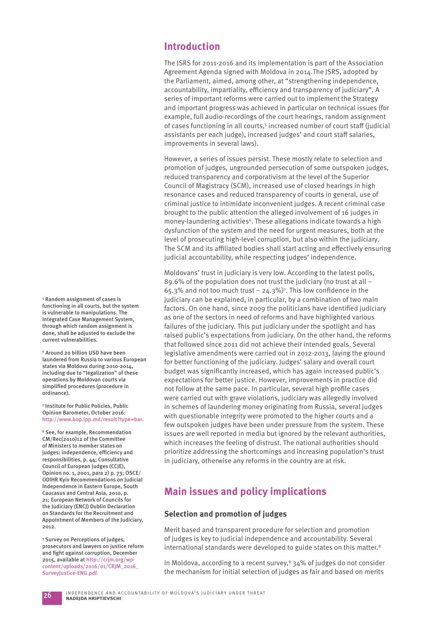## **Introduction**

The JSRS for 2011-2016 and its implementation is part of the Association Agreement Agenda signed with Moldova in 2014.The JSRS, adopted by the Parliament, aimed, among other, at "strengthening independence, accountability, impartiality, efficiency and transparency of judiciary". A series of important reforms were carried out to implement the Strategy and important progress was achieved in particular on technical issues (for example, full audio-recordings of the court hearings, random assignment of cases functioning in all courts,<sup>5</sup> increased number of court staff (judicial assistants per each judge), increased judges' and court staff salaries, improvements in several laws).

However, a series of issues persist. These mostly relate to selection and promotion of judges, ungrounded persecution of some outspoken judges, reduced transparency and corporativism at the level of the Superior Council of Magistracy (SCM), increased use of closed hearings in high resonance cases and reduced transparency of courts in general, use of criminal justice to intimidate inconvenient judges. A recent criminal case brought to the public attention the alleged involvement of 16 judges in money-laundering activities<sup>6</sup>. These allegations indicate towards a high dysfunction of the system and the need for urgent measures, both at the level of prosecuting high-level corruption, but also within the judiciary. The SCM and its affiliated bodies shall start acting and effectively ensuring judicial accountability, while respecting judges' independence.

Moldovans' trust in judiciary is very low. According to the latest polls, 89.6% of the population does not trust the judiciary (no trust at all – 65.3% and not too much trust  $-$  24.3%)<sup>7</sup>. This low confidence in the judiciary can be explained, in particular, by a combination of two main factors. On one hand, since 2009 the politicians have identified judiciary as one of the sectors in need of reforms and have highlighted various failures of the judiciary. This put judiciary under the spotlight and has raised public's expectations from judiciary. On the other hand, the reforms that followed since 2011 did not achieve their intended goals. Several legislative amendments were carried out in 2012-2013, laying the ground for better functioning of the judiciary. Judges' salary and overall court budget was significantly increased, which has again increased public's expectations for better justice. However, improvements in practice did not follow at the same pace. In particular, several high profile cases were carried out with grave violations, judiciary was allegedly involved in schemes of laundering money originating from Russia, several judges with questionable integrity were promoted to the higher courts and a few outspoken judges have been under pressure from the system. These issues are well reported in media but ignored by the relevant authorities, which increases the feeling of distrust. The national authorities should prioritize addressing the shortcomings and increasing population's trust in judiciary, otherwise any reforms in the country are at risk.

## **Main issues and policy implications**

#### **Selection and promotion of judges**

Merit based and transparent procedure for selection and promotion of judges is key to judicial independence and accountability. Several international standards were developed to guide states on this matter.8

In Moldova, according to a recent survey,<sup>9</sup> 34% of judges do not consider the mechanism for initial selection of judges as fair and based on merits

5 Random assignment of cases is functioning in all courts, but the system is vulnerable to manipulations. The Integrated Case Management System, through which random assignment is done, shall be adjusted to exclude the current vulnerabilities.

6 Around 20 billion USD have been laundered from Russia to various European states via Moldova during 2010-2014, including due to "legalization" of these operations by Moldovan courts via simplified procedures (procedure in ordinance).

7 Institute for Public Policies, Public Opinion Barometer, October 2016: http://www.bop.ipp.md/result?type=bar.

8 See, for example, Recommendation CM/Rec(2010)12 of the Committee of Ministers to member states on judges: independence, efficiency and responsibilities, p. 44; Consultative Council of European Judges (CCJE), Opinion no. 1, 2001, para 2) p. 73; OSCE/ ODIHR Kyiv Recommendations on Judicial Independence in Eastern Europe, South Caucasus and Central Asia, 2010, p. 21; European Network of Councils for the Judiciary (ENCJ) Dublin Declaration on Standards for the Recruitment and Appointment of Members of the Judiciary, 2012.

9 Survey on Perceptions of judges, prosecutors and lawyers on justice reform and fight against corruption. December 2015, available at http://crjm.org/wpcontent/uploads/2016/01/CRJM\_2016\_ SurveyJustice-ENG.pdf.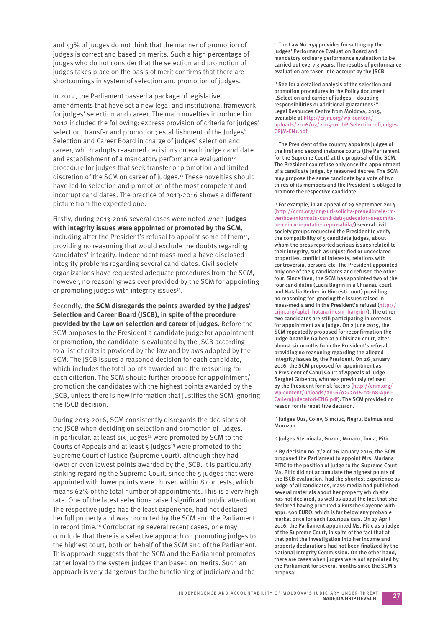and 43% of judges do not think that the manner of promotion of judges is correct and based on merits. Such a high percentage of judges who do not consider that the selection and promotion of judges takes place on the basis of merit confirms that there are shortcomings in system of selection and promotion of judges.

In 2012, the Parliament passed a package of legislative amendments that have set a new legal and institutional framework for judges' selection and career. The main novelties introduced in 2012 included the following: express provision of criteria for judges' selection, transfer and promotion; establishment of the Judges' Selection and Career Board in charge of judges' selection and career, which adopts reasoned decisions on each judge candidate and establishment of a mandatory performance evaluation<sup>10</sup> procedure for judges that seek transfer or promotion and limited discretion of the SCM on career of judges.11 These novelties should have led to selection and promotion of the most competent and incorrupt candidates. The practice of 2013-2016 shows a different picture from the expected one.

Firstly, during 2013-2016 several cases were noted when **judges with integrity issues were appointed or promoted by the SCM**, including after the President's refusal to appoint some of them<sup>12</sup>, providing no reasoning that would exclude the doubts regarding candidates' integrity. Independent mass-media have disclosed integrity problems regarding several candidates. Civil society organizations have requested adequate procedures from the SCM, however, no reasoning was ever provided by the SCM for appointing or promoting judges with integrity issues<sup>13</sup>.

Secondly, **the SCM disregards the points awarded by the Judges' Selection and Career Board (JSCB), in spite of the procedure provided by the Law on selection and career of judges.** Before the SCM proposes to the President a candidate judge for appointment or promotion, the candidate is evaluated by the JSCB according to a list of criteria provided by the law and bylaws adopted by the SCM. The JSCB issues a reasoned decision for each candidate, which includes the total points awarded and the reasoning for each criterion. The SCM should further propose for appointment/ promotion the candidates with the highest points awarded by the JSCB, unless there is new information that justifies the SCM ignoring the JSCB decision.

During 2013-2016, SCM consistently disregards the decisions of the JSCB when deciding on selection and promotion of judges. In particular, at least six judges<sup>14</sup> were promoted by SCM to the Courts of Appeals and at least 5 judges<sup>15</sup> were promoted to the Supreme Court of Justice (Supreme Court), although they had lower or even lowest points awarded by the JSCB. It is particularly striking regarding the Supreme Court, since the 5 judges that were appointed with lower points were chosen within 8 contests, which means 62% of the total number of appointments. This is a very high rate. One of the latest selections raised significant public attention. The respective judge had the least experience, had not declared her full property and was promoted by the SCM and the Parliament in record time.<sup>16</sup> Corroborating several recent cases, one may conclude that there is a selective approach on promoting judges to the highest court, both on behalf of the SCM and of the Parliament. This approach suggests that the SCM and the Parliament promotes rather loyal to the system judges than based on merits. Such an approach is very dangerous for the functioning of judiciary and the

10 The Law No. 154 provides for setting up the Judges' Performance Evaluation Board and mandatory ordinary performance evaluation to be carried out every 3 years. The results of performance evaluation are taken into account by the JSCB.

<sup>11</sup> See for a detailed analysis of the selection and promotion procedures in the Policy document "Selection and carrier of judges - doubling responsibilities or additional guarantees?" Legal Resources Centre from Moldova, 2015, available at http://crjm.org/wp-content/ uploads/2016/03/2015-01\_DP-Selection-of-Judges\_ CRJM-EN1.pdf.

<sup>12</sup> The President of the country appoints judges of the first and second instance courts (the Parliament for the Supreme Court) at the proposal of the SCM. The President can refuse only once the appointment of a candidate judge, by reasoned decree. The SCM may propose the same candidate by a vote of two thirds of its members and the President is obliged to promote the respective candidate.

<sup>13</sup> For example, in an appeal of 29 September 2014 (http://crjm.org/ong-uri-solicita-presedintele-rmverifice-informatii-candidati-judecatori-si-admitape-cei-cu-reputatie-ireprosabila/) several civil society groups requested the President to verify the compatibility of 5 candidate judges, about whom the press reported serious issues related to their integrity, such as uniustified or undeclared properties, conflict of interests, relations with controversial persons etc. The President appointed only one of the 5 candidates and refused the other four. Since then, the SCM has appointed two of the four candidates (Lucia Bagrin in a Chisinau court and Natalia Berbec in Hincesti court) providing no reasoning for ignoring the issues raised in mass-media and in the President's refusal (http:// crjm.org/aplel\_hotararii-csm\_bargrin/). The other two candidates are still participating in contests for appointment as a judge. On 2 June 2015, the SCM repeatedly proposed for reconfirmation the judge Anatolie Galben at a Chisinau court, after almost six months from the President's refusal, providing no reasoning regarding the alleged integrity issues by the President. On 26 January 2016, the SCM proposed for appointment as a President of Cahul Court of Appeals of judge Serghei Gubenco, who was previously refused by the President for risk factors (http://crjm.org/ wp-content/uploads/2016/02/2016-02-08-Apel-CarieraJudecatori-ENG.pdf). The SCM provided no reason for its repetitive decision.

<sup>14</sup> Judges Ous, Colev, Simciuc, Negru, Balmus and Morozan.

15 Judges Sternioala, Guzun, Moraru, Toma, Pitic.

<sup>16</sup> By decision no. 7/2 of 26 January 2016, the SCM proposed the Parliament to appoint Mrs. Mariana PITIC to the position of judge to the Supreme Court. Ms. Pitic did not accumulate the highest points of the JSCB evaluation, had the shortest experience as judge of all candidates, mass-media had published several materials about her property which she has not declared, as well as about the fact that she declared having procured a Porsche Cayenne with appr. 500 EURO, which is far below any probable market price for such luxurious cars. On 27 April 2016, the Parliament appointed Ms. Pitic as a judge of the Supreme Court, in spite of the fact that at that point the investigation into her income and property declarations had not been finalized by the National Integrity Commission. On the other hand, there are cases when judges were not appointed by the Parliament for several months since the SCM's proposal.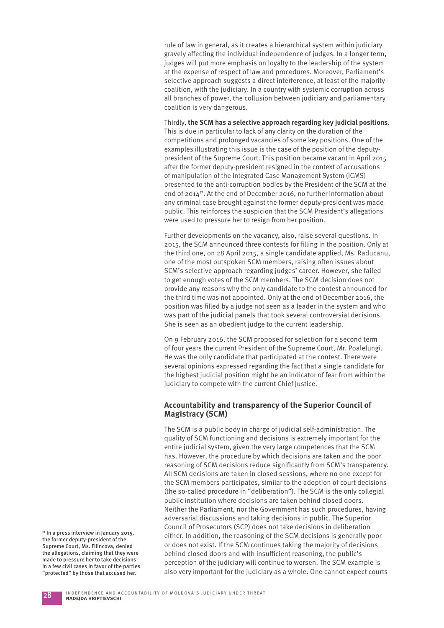rule of law in general, as it creates a hierarchical system within judiciary gravely affecting the individual independence of judges. In a longer term, judges will put more emphasis on loyalty to the leadership of the system at the expense of respect of law and procedures. Moreover, Parliament's selective approach suggests a direct interference, at least of the majority coalition, with the judiciary. In a country with systemic corruption across all branches of power, the collusion between judiciary and parliamentary coalition is very dangerous.

Thirdly, **the SCM has a selective approach regarding key judicial positions**. This is due in particular to lack of any clarity on the duration of the competitions and prolonged vacancies of some key positions. One of the examples illustrating this issue is the case of the position of the deputypresident of the Supreme Court. This position became vacant in April 2015 after the former deputy-president resigned in the context of accusations of manipulation of the Integrated Case Management System (ICMS) presented to the anti-corruption bodies by the President of the SCM at the end of 2014<sup>17</sup>. At the end of December 2016, no further information about any criminal case brought against the former deputy-president was made public. This reinforces the suspicion that the SCM President's allegations were used to pressure her to resign from her position.

Further developments on the vacancy, also, raise several questions. In 2015, the SCM announced three contests for fi lling in the position. Only at the third one, on 28 April 2015, a single candidate applied, Ms. Raducanu, one of the most outspoken SCM members, raising often issues about SCM's selective approach regarding judges' career. However, she failed to get enough votes of the SCM members. The SCM decision does not provide any reasons why the only candidate to the contest announced for the third time was not appointed. Only at the end of December 2016, the position was filled by a judge not seen as a leader in the system and who was part of the judicial panels that took several controversial decisions. She is seen as an obedient judge to the current leadership.

On 9 February 2016, the SCM proposed for selection for a second term of four years the current President of the Supreme Court, Mr. Poalelungi. He was the only candidate that participated at the contest. There were several opinions expressed regarding the fact that a single candidate for the highest judicial position might be an indicator of fear from within the judiciary to compete with the current Chief Justice.

#### **Accountability and transparency of the Superior Council of Magistracy (SCM)**

The SCM is a public body in charge of judicial self-administration. The quality of SCM functioning and decisions is extremely important for the entire judicial system, given the very large competences that the SCM has. However, the procedure by which decisions are taken and the poor reasoning of SCM decisions reduce significantly from SCM's transparency. All SCM decisions are taken in closed sessions, where no one except for the SCM members participates, similar to the adoption of court decisions (the so-called procedure in "deliberation"). The SCM is the only collegial public institution where decisions are taken behind closed doors. Neither the Parliament, nor the Government has such procedures, having adversarial discussions and taking decisions in public. The Superior Council of Prosecutors (SCP) does not take decisions in deliberation either. In addition, the reasoning of the SCM decisions is generally poor or does not exist. If the SCM continues taking the majority of decisions behind closed doors and with insufficient reasoning, the public's perception of the judiciary will continue to worsen. The SCM example is also very important for the judiciary as a whole. One cannot expect courts

<sup>17</sup> In a press interview in January 2015, the former deputy-president of the Supreme Court, Ms. Filincova, denied the allegations, claiming that they were made to pressure her to take decisions in a few civil cases in favor of the parties "protected" by those that accused her.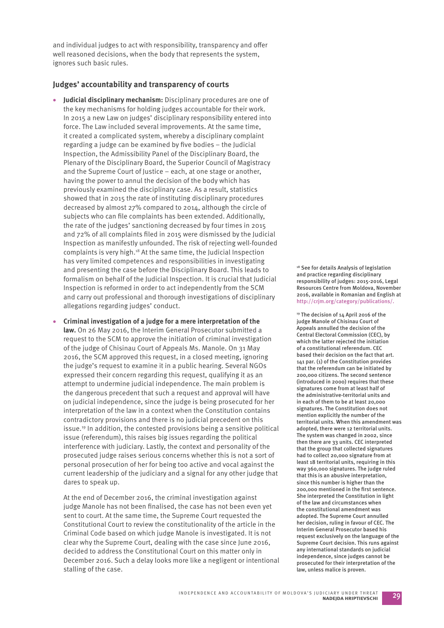and individual judges to act with responsibility, transparency and offer well reasoned decisions, when the body that represents the system, ignores such basic rules.

#### **Judges' accountability and transparency of courts**

- **Judicial disciplinary mechanism:** Disciplinary procedures are one of the key mechanisms for holding judges accountable for their work. In 2015 a new Law on judges' disciplinary responsibility entered into force. The Law included several improvements. At the same time, it created a complicated system, whereby a disciplinary complaint regarding a judge can be examined by five bodies – the Judicial Inspection, the Admissibility Panel of the Disciplinary Board, the Plenary of the Disciplinary Board, the Superior Council of Magistracy and the Supreme Court of Justice – each, at one stage or another, having the power to annul the decision of the body which has previously examined the disciplinary case. As a result, statistics showed that in 2015 the rate of instituting disciplinary procedures decreased by almost 27% compared to 2014, although the circle of subjects who can file complaints has been extended. Additionally, the rate of the judges' sanctioning decreased by four times in 2015 and 72% of all complaints filed in 2015 were dismissed by the Judicial Inspection as manifestly unfounded. The risk of rejecting well-founded complaints is very high.18 At the same time, the Judicial Inspection has very limited competences and responsibilities in investigating and presenting the case before the Disciplinary Board. This leads to formalism on behalf of the Judicial Inspection. It is crucial that Judicial Inspection is reformed in order to act independently from the SCM and carry out professional and thorough investigations of disciplinary allegations regarding judges' conduct.
- **Criminal investigation of a judge for a mere interpretation of the law.** On 26 May 2016, the Interim General Prosecutor submitted a request to the SCM to approve the initiation of criminal investigation of the judge of Chisinau Court of Appeals Ms. Manole. On 31 May 2016, the SCM approved this request, in a closed meeting, ignoring the judge's request to examine it in a public hearing. Several NGOs expressed their concern regarding this request, qualifying it as an attempt to undermine judicial independence. The main problem is the dangerous precedent that such a request and approval will have on judicial independence, since the judge is being prosecuted for her interpretation of the law in a context when the Constitution contains contradictory provisions and there is no judicial precedent on this issue.19 In addition, the contested provisions being a sensitive political issue (referendum), this raises big issues regarding the political interference with judiciary. Lastly, the context and personality of the prosecuted judge raises serious concerns whether this is not a sort of personal prosecution of her for being too active and vocal against the current leadership of the judiciary and a signal for any other judge that dares to speak up.

At the end of December 2016, the criminal investigation against judge Manole has not been finalised, the case has not been even yet sent to court. At the same time, the Supreme Court requested the Constitutional Court to review the constitutionality of the article in the Criminal Code based on which judge Manole is investigated. It is not clear why the Supreme Court, dealing with the case since June 2016, decided to address the Constitutional Court on this matter only in December 2016. Such a delay looks more like a negligent or intentional stalling of the case.

18 See for details Analysis of legislation and practice regarding disciplinary responsibility of judges: 2015-2016, Legal Resources Centre from Moldova, November 2016, available in Romanian and English at http://crjm.org/category/publications/.

19 The decision of 14 April 2016 of the judge Manole of Chisinau Court of Appeals annulled the decision of the Central Electoral Commission (CEC), by which the latter rejected the initiation of a constitutional referendum. CEC based their decision on the fact that art. 141 par. (1) of the Constitution provides that the referendum can be initiated by 200,000 citizens. The second sentence (introduced in 2000) requires that these signatures come from at least half of the administrative-territorial units and in each of them to be at least 20,000 signatures. The Constitution does not mention explicitly the number of the territorial units. When this amendment was adopted, there were 12 territorial units. The system was changed in 2002, since then there are 33 units. CEC interpreted that the group that collected signatures had to collect 20,000 signature from at least 18 territorial units, requiring in this way 360,000 signatures. The judge ruled that this is an abusive interpretation, since this number is higher than the 200,000 mentioned in the first sentence. She interpreted the Constitution in light of the law and circumstances when the constitutional amendment was adopted. The Supreme Court annulled her decision, ruling in favour of CEC. The Interim General Prosecutor based his request exclusively on the language of the Supreme Court decision. This runs against any international standards on judicial independence, since judges cannot be prosecuted for their interpretation of the law, unless malice is proven.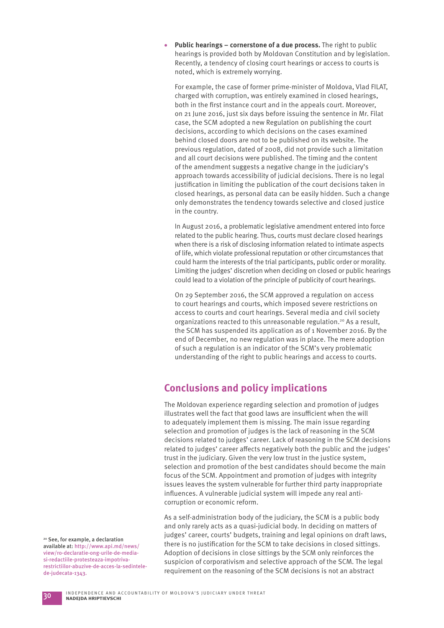**Public hearings – cornerstone of a due process.** The right to public hearings is provided both by Moldovan Constitution and by legislation. Recently, a tendency of closing court hearings or access to courts is noted, which is extremely worrying.

 For example, the case of former prime-minister of Moldova, Vlad FILAT, charged with corruption, was entirely examined in closed hearings, both in the first instance court and in the appeals court. Moreover, on 21 June 2016, just six days before issuing the sentence in Mr. Filat case, the SCM adopted a new Regulation on publishing the court decisions, according to which decisions on the cases examined behind closed doors are not to be published on its website. The previous regulation, dated of 2008, did not provide such a limitation and all court decisions were published. The timing and the content of the amendment suggests a negative change in the judiciary's approach towards accessibility of judicial decisions. There is no legal justification in limiting the publication of the court decisions taken in closed hearings, as personal data can be easily hidden. Such a change only demonstrates the tendency towards selective and closed justice in the country.

In August 2016, a problematic legislative amendment entered into force related to the public hearing. Thus, courts must declare closed hearings when there is a risk of disclosing information related to intimate aspects of life, which violate professional reputation or other circumstances that could harm the interests of the trial participants, public order or morality. Limiting the judges' discretion when deciding on closed or public hearings could lead to a violation of the principle of publicity of court hearings.

On 29 September 2016, the SCM approved a regulation on access to court hearings and courts, which imposed severe restrictions on access to courts and court hearings. Several media and civil society organizations reacted to this unreasonable regulation.20 As a result, the SCM has suspended its application as of 1 November 2016. By the end of December, no new regulation was in place. The mere adoption of such a regulation is an indicator of the SCM's very problematic understanding of the right to public hearings and access to courts.

## **Conclusions and policy implications**

The Moldovan experience regarding selection and promotion of judges illustrates well the fact that good laws are insufficient when the will to adequately implement them is missing. The main issue regarding selection and promotion of judges is the lack of reasoning in the SCM decisions related to judges' career. Lack of reasoning in the SCM decisions related to judges' career affects negatively both the public and the judges' trust in the judiciary. Given the very low trust in the justice system, selection and promotion of the best candidates should become the main focus of the SCM. Appointment and promotion of judges with integrity issues leaves the system vulnerable for further third party inappropriate influences. A vulnerable judicial system will impede any real anticorruption or economic reform.

As a self-administration body of the judiciary, the SCM is a public body and only rarely acts as a quasi-judicial body. In deciding on matters of judges' career, courts' budgets, training and legal opinions on draft laws, there is no justification for the SCM to take decisions in closed sittings. Adoption of decisions in close sittings by the SCM only reinforces the suspicion of corporativism and selective approach of the SCM. The legal requirement on the reasoning of the SCM decisions is not an abstract

20 See, for example, a declaration available at: http://www.api.md/news/ view/ro-declaratie-ong-urile-de-mediasi-redactiile-protesteaza-impotrivarestrictiilor-abuzive-de-acces-la-sedintelede-judecata-1343.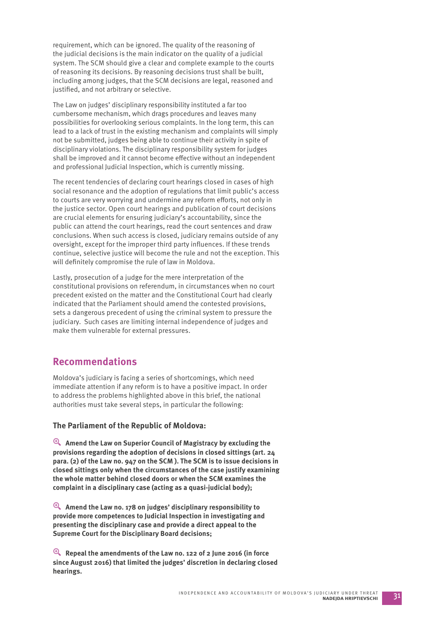requirement, which can be ignored. The quality of the reasoning of the judicial decisions is the main indicator on the quality of a judicial system. The SCM should give a clear and complete example to the courts of reasoning its decisions. By reasoning decisions trust shall be built, including among judges, that the SCM decisions are legal, reasoned and justified, and not arbitrary or selective.

The Law on judges' disciplinary responsibility instituted a far too cumbersome mechanism, which drags procedures and leaves many possibilities for overlooking serious complaints. In the long term, this can lead to a lack of trust in the existing mechanism and complaints will simply not be submitted, judges being able to continue their activity in spite of disciplinary violations. The disciplinary responsibility system for judges shall be improved and it cannot become effective without an independent and professional Judicial Inspection, which is currently missing.

The recent tendencies of declaring court hearings closed in cases of high social resonance and the adoption of regulations that limit public's access to courts are very worrying and undermine any reform efforts, not only in the justice sector. Open court hearings and publication of court decisions are crucial elements for ensuring judiciary's accountability, since the public can attend the court hearings, read the court sentences and draw conclusions. When such access is closed, judiciary remains outside of any oversight, except for the improper third party influences. If these trends continue, selective justice will become the rule and not the exception. This will definitely compromise the rule of law in Moldova.

Lastly, prosecution of a judge for the mere interpretation of the constitutional provisions on referendum, in circumstances when no court precedent existed on the matter and the Constitutional Court had clearly indicated that the Parliament should amend the contested provisions, sets a dangerous precedent of using the criminal system to pressure the judiciary. Such cases are limiting internal independence of judges and make them vulnerable for external pressures.

## **Recommendations**

Moldova's judiciary is facing a series of shortcomings, which need immediate attention if any reform is to have a positive impact. In order to address the problems highlighted above in this brief, the national authorities must take several steps, in particular the following:

#### **The Parliament of the Republic of Moldova:**

y **Amend the Law on Superior Council of Magistracy by excluding the provisions regarding the adoption of decisions in closed sittings (art. 24 para. (2) of the Law no. 947 on the SCM ). The SCM is to issue decisions in closed sittings only when the circumstances of the case justify examining the whole matter behind closed doors or when the SCM examines the complaint in a disciplinary case (acting as a quasi-judicial body);** 

y **Amend the Law no. 178 on judges' disciplinary responsibility to provide more competences to Judicial Inspection in investigating and presenting the disciplinary case and provide a direct appeal to the Supreme Court for the Disciplinary Board decisions;** 

y **Repeal the amendments of the Law no. 122 of 2 June 2016 (in force since August 2016) that limited the judges' discretion in declaring closed hearings.**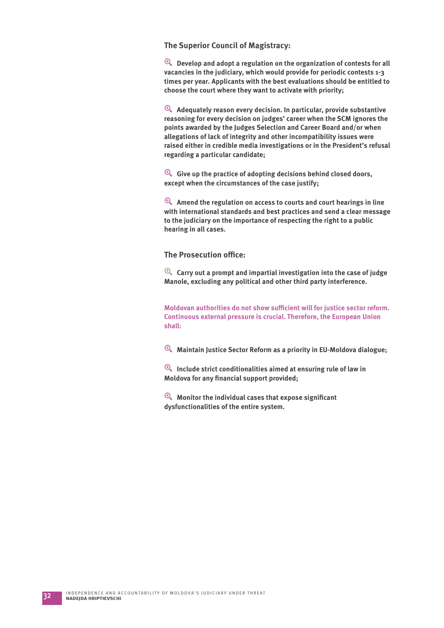#### **The Superior Council of Magistracy:**

 $^{\circledR}$  Develop and adopt a regulation on the organization of contests for all **vacancies in the judiciary, which would provide for periodic contests 1-3 times per year. Applicants with the best evaluations should be entitled to choose the court where they want to activate with priority;** 

y **Adequately reason every decision. In particular, provide substantive reasoning for every decision on judges' career when the SCM ignores the points awarded by the Judges Selection and Career Board and/or when allegations of lack of integrity and other incompatibility issues were raised either in credible media investigations or in the President's refusal regarding a particular candidate;**

y **Give up the practice of adopting decisions behind closed doors, except when the circumstances of the case justify;**

y **Amend the regulation on access to courts and court hearings in line with international standards and best practices and send a clear message to the judiciary on the importance of respecting the right to a public hearing in all cases.** 

#### **The Prosecution office:**

y **Carry out a prompt and impartial investigation into the case of judge Manole, excluding any political and other third party interference.** 

**Moldovan authorities do not show sufficient will for justice sector reform. Continuous external pressure is crucial. Therefore, the European Union shall:**

y **Maintain Justice Sector Reform as a priority in EU-Moldova dialogue;**

y **Include strict conditionalities aimed at ensuring rule of law in Moldova for any financial support provided;** 

 $\mathcal{P}_k$  Monitor the individual cases that expose significant **dysfunctionalities of the entire system.**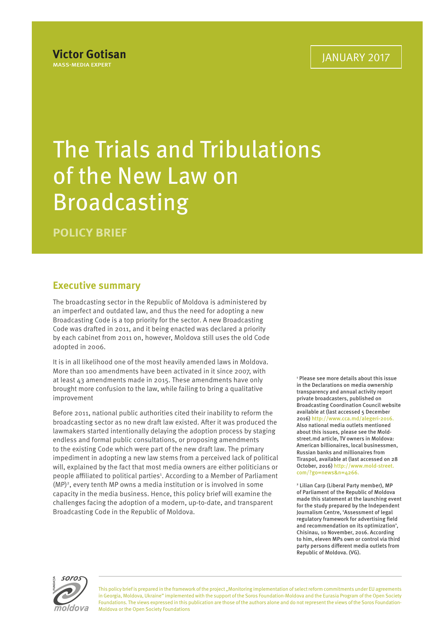# The Trials and Tribulations of the New Law on Broadcasting

**POLICY BRIEF**

## **Executive summary**

The broadcasting sector in the Republic of Moldova is administered by an imperfect and outdated law, and thus the need for adopting a new Broadcasting Code is a top priority for the sector. A new Broadcasting Code was drafted in 2011, and it being enacted was declared a priority by each cabinet from 2011 on, however, Moldova still uses the old Code adopted in 2006.

It is in all likelihood one of the most heavily amended laws in Moldova. More than 100 amendments have been activated in it since 2007, with at least 43 amendments made in 2015. These amendments have only brought more confusion to the law, while failing to bring a qualitative improvement

Before 2011, national public authorities cited their inability to reform the broadcasting sector as no new draft law existed. After it was produced the lawmakers started intentionally delaying the adoption process by staging endless and formal public consultations, or proposing amendments to the existing Code which were part of the new draft law. The primary impediment in adopting a new law stems from a perceived lack of political will, explained by the fact that most media owners are either politicians or people affiliated to political parties<sup>1</sup>. According to a Member of Parliament (MP)2 , every tenth MP owns a media institution or is involved in some capacity in the media business. Hence, this policy brief will examine the challenges facing the adoption of a modern, up-to-date, and transparent Broadcasting Code in the Republic of Moldova.

1 Please see more details about this issue in the Declarations on media ownership transparency and annual activity report private broadcasters, published on Broadcasting Coordination Council website available at (last accessed 5 December 2016) http://www.cca.md/alegeri-2016. Also national media outlets mentioned about this issues, please see the Moldstreet.md article, TV owners in Moldova: American billionaires, local businessmen, Russian banks and millionaires from Tiraspol, available at (last accessed on 28 October, 2016) http://www.mold-street. com/?go=news&n=4266.

2 Lilian Carp (Liberal Party member), MP of Parliament of the Republic of Moldova made this statement at the launching event for the study prepared by the Independent Journalism Centre, 'Assessment of legal regulatory framework for advertising field and recommendation on its optimization', Chisinau, 10 November, 2016. According to him, eleven MPs own or control via third party persons different media outlets from Republic of Moldova. (VG).



This policy brief is prepared in the framework of the project "Monitoring implementation of select reform commitments under EU agreements in Georgia, Moldova, Ukraine" implemented with the support of the Soros Foundation-Moldova and the Eurasia Program of the Open Society Foundations. The views expressed in this publication are those of the authors alone and do not represent the views of the Soros Foundation-Moldova or the Open Society Foundations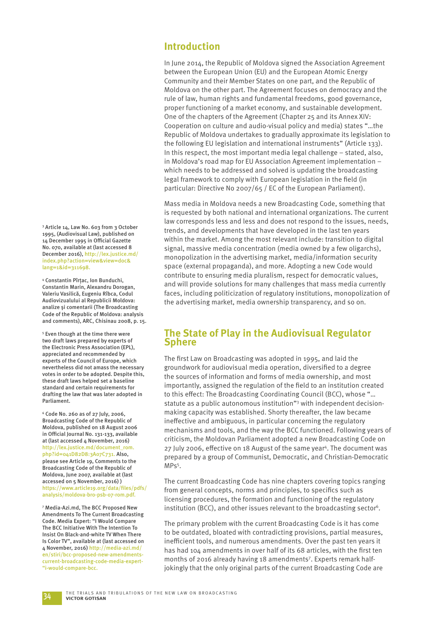### **Introduction**

In June 2014, the Republic of Moldova signed the Association Agreement between the European Union (EU) and the European Atomic Energy Community and their Member States on one part, and the Republic of Moldova on the other part. The Agreement focuses on democracy and the rule of law, human rights and fundamental freedoms, good governance, proper functioning of a market economy, and sustainable development. One of the chapters of the Agreement (Chapter 25 and its Annex XIV: Cooperation on culture and audio-visual policy and media) states "…the Republic of Moldova undertakes to gradually approximate its legislation to the following EU legislation and international instruments" (Article 133). In this respect, the most important media legal challenge – stated, also, in Moldova's road map for EU Association Agreement implementation – which needs to be addressed and solved is updating the broadcasting legal framework to comply with European legislation in the field (in particular: Directive No 2007/65 / EC of the European Parliament).

Mass media in Moldova needs a new Broadcasting Code, something that is requested by both national and international organizations. The current law corresponds less and less and does not respond to the issues, needs, trends, and developments that have developed in the last ten years within the market. Among the most relevant include: transition to digital signal, massive media concentration (media owned by a few oligarchs), monopolization in the advertising market, media/information security space (external propaganda), and more. Adopting a new Code would contribute to ensuring media pluralism, respect for democratic values, and will provide solutions for many challenges that mass media currently faces, including politicization of regulatory institutions, monopolization of the advertising market, media ownership transparency, and so on.

## **The State of Play in the Audiovisual Regulator Sphere**

The first Law on Broadcasting was adopted in 1995, and laid the groundwork for audiovisual media operation, diversified to a degree the sources of information and forms of media ownership, and most importantly, assigned the regulation of the field to an institution created to this effect: The Broadcasting Coordinating Council (BCC), whose "... statute as a public autonomous institution"<sup>3</sup> with independent decisionmaking capacity was established. Shorty thereafter, the law became ineffective and ambiguous, in particular concerning the regulatory mechanisms and tools, and the way the BCC functioned. Following years of criticism, the Moldovan Parliament adopted a new Broadcasting Code on 27 July 2006, effective on 18 August of the same year<sup>4</sup>. The document was prepared by a group of Communist, Democratic, and Christian-Democratic MPs<sup>5</sup>.

The current Broadcasting Code has nine chapters covering topics ranging from general concepts, norms and principles, to specifics such as licensing procedures, the formation and functioning of the regulatory institution (BCC), and other issues relevant to the broadcasting sector<sup>6</sup>.

The primary problem with the current Broadcasting Code is it has come to be outdated, bloated with contradicting provisions, partial measures, inefficient tools, and numerous amendments. Over the past ten years it has had 104 amendments in over half of its 68 articles, with the first ten months of 2016 already having 18 amendments<sup>7</sup>. Experts remark halfjokingly that the only original parts of the current Broadcasting Code are

3 Article 14, Law No. 603 from 3 October 1995, (Audiovisual Law), published on 14 December 1995 in Official Gazette No. 070, available at (last accessed 8 December 2016), http://lex.justice.md/ index.php?action=view&view=doc& lang=1&id=311698.

4 Constantin Pîrţac, Ion Bunduchi, Constantin Marin, Alexandru Dorogan, Valeriu Vasilică, Eugeniu Rîbca, Codul Audiovizualului al Republicii Moldova: analize și comentarii (The Broadcasting Code of the Republic of Moldova: analysis and comments), ARC, Chisinau 2008, p. 15.

5 Even though at the time there were two draft laws prepared by experts of the Electronic Press Association (EPL), appreciated and recommended by experts of the Council of Europe, which nevertheless did not amass the necessary votes in order to be adopted. Despite this, these draft laws helped set a baseline standard and certain requirements for drafting the law that was later adopted in Parliament.

6 Code No. 260 as of 27 July, 2006, Broadcasting Code of the Republic of Moldova, published on 18 August 2006 in Official Journal No. 131-133, available at (last accessed 4 November, 2016) http://lex.justice.md/document\_rom. php?id=041D82D8:3A07C731. Also, please see Article 19, Comments to the Broadcasting Code of the Republic of Moldova, June 2007, available at (last accessed on 5 November, 2016) ) https://www.article19.org/data/files/pdfs/ analysis/moldova-bro-psb-07-rom.pdf.

7 Media-Azi.md, The BCC Proposed New Amendments To The Current Broadcasting Code. Media Expert: "I Would Compare The BCC Initiative With The Intention To Insist On Black-and-white TV When There Is Color TV", available at (last accessed on 4 November, 2016) http://media-azi.md/ en/stiri/bcc-proposed-new-amendmentscurrent-broadcasting-code-media-expert- "i-would-compare-bcc.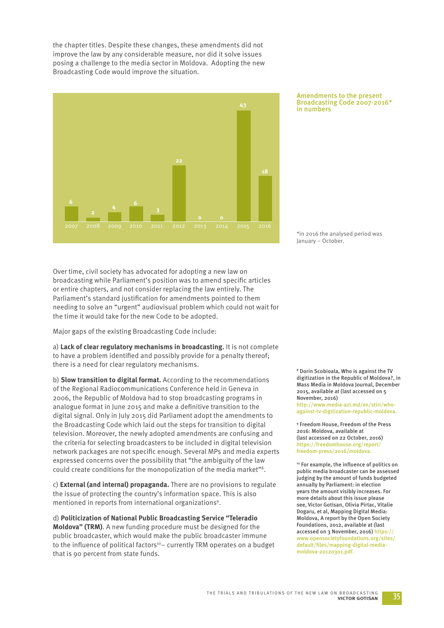the chapter titles. Despite these changes, these amendments did not improve the law by any considerable measure, nor did it solve issues posing a challenge to the media sector in Moldova. Adopting the new Broadcasting Code would improve the situation.



#### Amendments to the present Broadcasting Code 2007-2016\* in numbers

\*in 2016 the analysed period was January – October.

Over time, civil society has advocated for adopting a new law on broadcasting while Parliament's position was to amend specific articles or entire chapters, and not consider replacing the law entirely. The Parliament's standard justification for amendments pointed to them needing to solve an "urgent" audiovisual problem which could not wait for the time it would take for the new Code to be adopted.

Major gaps of the existing Broadcasting Code include:

a) **Lack of clear regulatory mechanisms in broadcasting.** It is not complete to have a problem identified and possibly provide for a penalty thereof; there is a need for clear regulatory mechanisms.

b) **Slow transition to digital format.** According to the recommendations of the Regional Radiocommunications Conference held in Geneva in 2006, the Republic of Moldova had to stop broadcasting programs in analogue format in June 2015 and make a definitive transition to the digital signal. Only in July 2015 did Parliament adopt the amendments to the Broadcasting Code which laid out the steps for transition to digital television. Moreover, the newly adopted amendments are confusing and the criteria for selecting broadcasters to be included in digital television network packages are not specific enough. Several MPs and media experts expressed concerns over the possibility that "the ambiguity of the law could create conditions for the monopolization of the media market"8.

c) **External (and internal) propaganda.** There are no provisions to regulate the issue of protecting the country's information space. This is also mentioned in reports from international organizations<sup>9</sup>.

d) **Politicization of National Public Broadcasting Service "Teleradio Moldova" (TRM)**. A new funding procedure must be designed for the public broadcaster, which would make the public broadcaster immune to the influence of political factors<sup>10</sup> – currently TRM operates on a budget that is 90 percent from state funds.

8 Dorin Scobioala, Who is against the TV digitization in the Republic of Moldova?, in Mass Media in Moldova Journal, December 2015, available at (last accessed on 5 November, 2016) http://www.media-azi.md/en/stiri/whoagainst-tv-digitization-republic-moldova.

9 Freedom House, Freedom of the Press 2016: Moldova, available at (last accessed on 22 October, 2016) https://freedomhouse.org/report/ freedom-press/2016/moldova.

<sup>10</sup> For example, the influence of politics on public media broadcaster can be assessed judging by the amount of funds budgeted annually by Parliament: in election years the amount visibly increases. For more details about this issue please see, Victor Gotisan, Olivia Pirtac, Vitalie Dogaru, et al, Mapping Digital Media: Moldova, A report by the Open Society Foundations, 2012, available at (last accessed on 3 November, 2016) https:// www.opensocietyfoundations.org/sites/ default/files/mapping-digital-mediamoldova-20120301.pdf.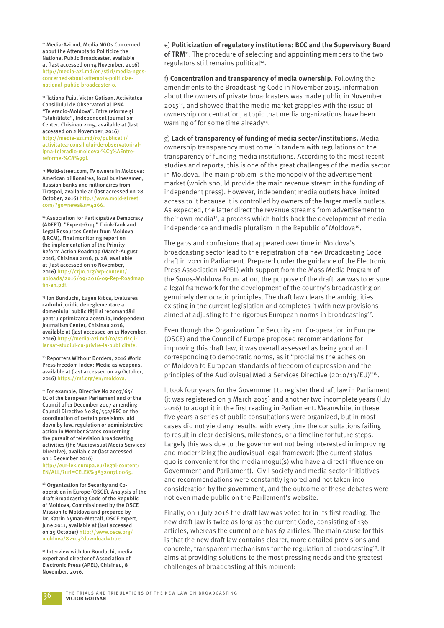11 Media-Azi.md, Media NGOs Concerned about the Attempts to Politicize the National Public Broadcaster, available at (last accessed on 14 November, 2016) http://media-azi.md/en/stiri/media-ngosconcerned-about-attempts-politicizenational-public-broadcaster-0.

12 Tatiana Puiu, Victor Gotisan, Activitatea Consiliului de Observatori al IPNA "Teleradio-Moldova": între reforme și "stabilitate", Independent Journalism Center, Chisinau 2015, available at (last accessed on 2 November, 2016) http://media-azi.md/ro/publicatii/ activitatea-consiliului-de-observatori-alipna-teleradio-moldova-%C3%AEntrereforme-%C8%99i.

13 Mold-street.com, TV owners in Moldova: American billionaires, local businessmen, Russian banks and millionaires from Tiraspol, available at (last accessed on 28 October, 2016) http://www.mold-street. com/?go=news&n=4266.

14 Association for Participative Democracy (ADEPT), "Expert-Grup" Think-Tank and Legal Resources Center from Moldova (LRCM), Final monitoring report on the implementation of the Priority Reform Action Roadmap (March-August 2016, Chisinau 2016, p. 28, available at (last accessed on 10 November, 2016) http://crjm.org/wp-content/ uploads/2016/09/2016-09-Rep-Roadmap\_ fin-en.pdf.

15 Ion Bunduchi, Eugen Ribca, Evaluarea cadrului juridic de reglementare a domeniului publicității și recomandări pentru optimizarea acestuia, Independent Journalism Center, Chisinau 2016, available at (last accessed on 11 November, 2016) http://media-azi.md/ro/stiri/cjilansat-studiul-cu-privire-la-publicitate.

16 Reporters Without Borders, 2016 World Press Freedom Index: Media as weapons, available at (last accessed on 29 October, 2016) https://rsf.org/en/moldova.

17 For example, Directive No 2007/65/ EC of the European Parliament and of the Council of 11 December 2007 amending Council Directive No 89/552/EEC on the coordination of certain provisions laid down by law, regulation or administrative action in Member States concerning the pursuit of television broadcasting activities (the 'Audiovisual Media Services' Directive), available at (last accessed on 1 December 2016)

http://eur-lex.europa.eu/legal-content/ EN/ALL/?uri=CELEX%3A32007L0065.

<sup>18</sup> Organization for Security and Cooperation in Europe (OSCE), Analysis of the draft Broadcasting Code of the Republic of Moldova, Commissioned by the OSCE Mission to Moldova and prepared by Dr. Katrin Nyman-Metcalf, OSCE expert, June 2011, available at (last accessed on 25 October) http://www.osce.org/ moldova/82103?download=true.

19 Interview with Ion Bunduchi, media expert and director of Association of Electronic Press (APEL), Chisinau, 8 November, 2016.

e) **Politicization of regulatory institutions: BCC and the Supervisory Board of TRM**11. The procedure of selecting and appointing members to the two regulators still remains political<sup>12</sup>.

f) **Concentration and transparency of media ownership.** Following the amendments to the Broadcasting Code in November 2015, information about the owners of private broadcasters was made public in November 2015<sup>13</sup>, and showed that the media market grapples with the issue of ownership concentration, a topic that media organizations have been warning of for some time already<sup>14</sup>.

g) **Lack of transparency of funding of media sector/institutions.** Media ownership transparency must come in tandem with regulations on the transparency of funding media institutions. According to the most recent studies and reports, this is one of the great challenges of the media sector in Moldova. The main problem is the monopoly of the advertisement market (which should provide the main revenue stream in the funding of independent press). However, independent media outlets have limited access to it because it is controlled by owners of the larger media outlets. As expected, the latter direct the revenue streams from advertisement to their own media<sup>15</sup>, a process which holds back the development of media independence and media pluralism in the Republic of Moldova<sup>16</sup>.

The gaps and confusions that appeared over time in Moldova's broadcasting sector lead to the registration of a new Broadcasting Code draft in 2011 in Parliament. Prepared under the guidance of the Electronic Press Association (APEL) with support from the Mass Media Program of the Soros-Moldova Foundation, the purpose of the draft law was to ensure a legal framework for the development of the country's broadcasting on genuinely democratic principles. The draft law clears the ambiguities existing in the current legislation and completes it with new provisions aimed at adjusting to the rigorous European norms in broadcasting<sup>17</sup>.

Even though the Organization for Security and Co-operation in Europe (OSCE) and the Council of Europe proposed recommendations for improving this draft law, it was overall assessed as being good and corresponding to democratic norms, as it "proclaims the adhesion of Moldova to European standards of freedom of expression and the principles of the Audiovisual Media Services Directive (2010/13/EU)"<sup>18</sup>.

It took four years for the Government to register the draft law in Parliament (it was registered on 3 March 2015) and another two incomplete years (July 2016) to adopt it in the first reading in Parliament. Meanwhile, in these five years a series of public consultations were organized, but in most cases did not yield any results, with every time the consultations failing to result in clear decisions, milestones, or a timeline for future steps. Largely this was due to the government not being interested in improving and modernizing the audiovisual legal framework (the current status quo is convenient for the media mogul(s) who have a direct influence on Government and Parliament). Civil society and media sector initiatives and recommendations were constantly ignored and not taken into consideration by the government, and the outcome of these debates were not even made public on the Parliament's website.

Finally, on 1 July 2016 the draft law was voted for in its first reading. The new draft law is twice as long as the current Code, consisting of 136 articles, whereas the current one has 67 articles. The main cause for this is that the new draft law contains clearer, more detailed provisions and concrete, transparent mechanisms for the regulation of broadcasting<sup>19</sup>. It aims at providing solutions to the most pressing needs and the greatest challenges of broadcasting at this moment: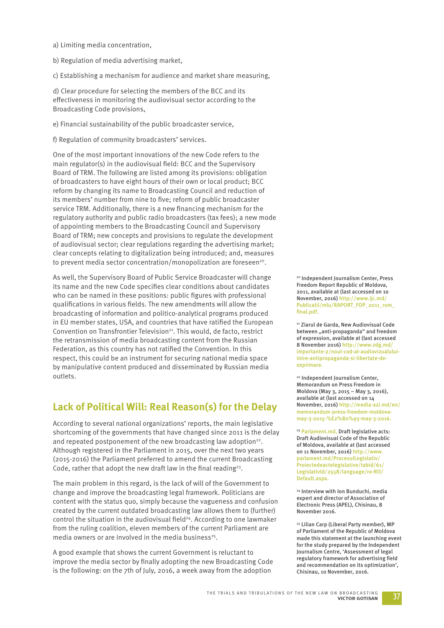- a) Limiting media concentration,
- b) Regulation of media advertising market,

c) Establishing a mechanism for audience and market share measuring,

d) Clear procedure for selecting the members of the BCC and its effectiveness in monitoring the audiovisual sector according to the Broadcasting Code provisions,

- e) Financial sustainability of the public broadcaster service,
- f) Regulation of community broadcasters' services.

One of the most important innovations of the new Code refers to the main regulator(s) in the audiovisual field: BCC and the Supervisory Board of TRM. The following are listed among its provisions: obligation of broadcasters to have eight hours of their own or local product; BCC reform by changing its name to Broadcasting Council and reduction of its members' number from nine to five; reform of public broadcaster service TRM. Additionally, there is a new financing mechanism for the regulatory authority and public radio broadcasters (tax fees); a new mode of appointing members to the Broadcasting Council and Supervisory Board of TRM; new concepts and provisions to regulate the development of audiovisual sector; clear regulations regarding the advertising market; clear concepts relating to digitalization being introduced; and, measures to prevent media sector concentration/monopolization are foreseen<sup>20</sup>.

As well, the Supervisory Board of Public Service Broadcaster will change its name and the new Code specifies clear conditions about candidates who can be named in these positions: public figures with professional qualifications in various fields. The new amendments will allow the broadcasting of information and politico-analytical programs produced in EU member states, USA, and countries that have ratified the European Convention on Transfrontier Television<sup>21</sup>. This would, de facto, restrict the retransmission of media broadcasting content from the Russian Federation, as this country has not ratified the Convention. In this respect, this could be an instrument for securing national media space by manipulative content produced and disseminated by Russian media outlets.

### **Lack of Political Will: Real Reason(s) for the Delay**

According to several national organizations' reports, the main legislative shortcoming of the governments that have changed since 2011 is the delay and repeated postponement of the new broadcasting law adoption<sup>22</sup>. Although registered in the Parliament in 2015, over the next two years (2015-2016) the Parliament preferred to amend the current Broadcasting Code, rather that adopt the new draft law in the final reading<sup>23</sup>.

The main problem in this regard, is the lack of will of the Government to change and improve the broadcasting legal framework. Politicians are content with the status quo, simply because the vagueness and confusion created by the current outdated broadcasting law allows them to (further) control the situation in the audiovisual field<sup>24</sup>. According to one lawmaker from the ruling coalition, eleven members of the current Parliament are media owners or are involved in the media business<sup>25</sup>.

A good example that shows the current Government is reluctant to improve the media sector by finally adopting the new Broadcasting Code is the following: on the 7th of July, 2016, a week away from the adoption

20 Independent Journalism Center, Press Freedom Report Republic of Moldova, 2011, available at (last accessed on 10 November, 2016) http://www.ijc.md/ Publicatii/mlu/RAPORT\_FOP\_2011\_rom\_ final.pdf.

21 Ziarul de Garda, New Audiovisual Code between "anti-propaganda" and freedom of expression, available at (last accessed 8 November 2016) http://www.zdg.md/ importante-2/noul-cod-al-audiovizualuluiintre-antipropaganda-si-libertate-deexprimare.

22 Independent Journalism Center, Memorandum on Press Freedom in Moldova (May 3, 2015 – May 3, 2016), available at (last accessed on 14 November, 2016) http://media-azi.md/en/ memorandum-press-freedom-moldovamay-3-2015-%E2%80%93-may-3-2016.

<sup>23</sup> Parlament.md, Draft legislative acts: Draft Audiovisual Code of the Republic of Moldova, available at (last accessed on 11 November, 2016) http://www. parlament.md/ProcesulLegislativ/ Proiectedeactelegislative/tabid/61/ LegislativId/2558/language/ro-RO/ Default.aspx.

24 Interview with Ion Bunduchi, media expert and director of Association of Electronic Press (APEL), Chisinau, 8 November 2016.

25 Lilian Carp (Liberal Party member), MP of Parliament of the Republic of Moldova made this statement at the launching event for the study prepared by the Independent Journalism Centre, 'Assessment of legal regulatory framework for advertising field and recommendation on its optimization', Chisinau, 10 November, 2016.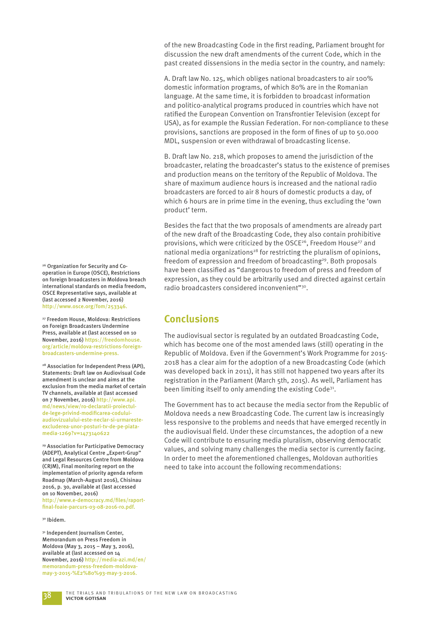of the new Broadcasting Code in the first reading, Parliament brought for discussion the new draft amendments of the current Code, which in the past created dissensions in the media sector in the country, and namely:

A. Draft law No. 125, which obliges national broadcasters to air 100% domestic information programs, of which 80% are in the Romanian language. At the same time, it is forbidden to broadcast information and politico-analytical programs produced in countries which have not ratified the European Convention on Transfrontier Television (except for USA), as for example the Russian Federation. For non-compliance to these provisions, sanctions are proposed in the form of fines of up to 50.000 MDL, suspension or even withdrawal of broadcasting license.

B. Draft law No. 218, which proposes to amend the jurisdiction of the broadcaster, relating the broadcaster's status to the existence of premises and production means on the territory of the Republic of Moldova. The share of maximum audience hours is increased and the national radio broadcasters are forced to air 8 hours of domestic products a day, of which 6 hours are in prime time in the evening, thus excluding the 'own product' term.

Besides the fact that the two proposals of amendments are already part of the new draft of the Broadcasting Code, they also contain prohibitive provisions, which were criticized by the OSCE<sup>26</sup>, Freedom House<sup>27</sup> and national media organizations<sup>28</sup> for restricting the pluralism of opinions, freedom of expression and freedom of broadcasting<sup>29</sup>. Both proposals have been classified as "dangerous to freedom of press and freedom of expression, as they could be arbitrarily used and directed against certain radio broadcasters considered inconvenient"<sup>30</sup>.

## **Conclusions**

The audiovisual sector is regulated by an outdated Broadcasting Code, which has become one of the most amended laws (still) operating in the Republic of Moldova. Even if the Government's Work Programme for 2015- 2018 has a clear aim for the adoption of a new Broadcasting Code (which was developed back in 2011), it has still not happened two years after its registration in the Parliament (March 5th, 2015). As well, Parliament has been limiting itself to only amending the existing Code<sup>31</sup>.

The Government has to act because the media sector from the Republic of Moldova needs a new Broadcasting Code. The current law is increasingly less responsive to the problems and needs that have emerged recently in the audiovisual field. Under these circumstances, the adoption of a new Code will contribute to ensuring media pluralism, observing democratic values, and solving many challenges the media sector is currently facing. In order to meet the aforementioned challenges, Moldovan authorities need to take into account the following recommendations:

26 Organization for Security and Cooperation in Europe (OSCE), Restrictions on foreign broadcasters in Moldova breach international standards on media freedom, OSCE Representative says, available at (last accessed 2 November, 2016) http://www.osce.org/fom/253346.

27 Freedom House, Moldova: Restrictions on Foreign Broadcasters Undermine Press, available at (last accessed on 10 November, 2016) https://freedomhouse. org/article/moldova-restrictions-foreignbroadcasters-undermine-press.

28 Association for Independent Press (API), Statements: Draft law on Audiovisual Code amendment is unclear and aims at the exclusion from the media market of certain TV channels, available at (last accessed on 7 November, 2016) http://www.api. md/news/view/ro-declaratii-proiectulde-lege-privind-modificarea-coduluiaudiovizualului-este-neclar-si-urmaresteexcluderea-unor-posturi-tv-de-pe-piatamedia-1269?v=1473140622

29 Association for Participative Democracy (ADEPT), Analytical Centre "Expert-Grup" and Legal Resources Centre from Moldova (CRJM), Final monitoring report on the implementation of priority agenda reform Roadmap (March-August 2016), Chisinau 2016, p. 30, available at (last accessed on 10 November, 2016) http://www.e-democracy.md/files/raportfi nal-foaie-parcurs-03-08-2016-ro.pdf.

#### 30 Ibidem.

<sup>31</sup> Independent Journalism Center, Memorandum on Press Freedom in Moldova (May 3, 2015 – May 3, 2016), available at (last accessed on 14 November, 2016) http://media-azi.md/en/ memorandum-press-freedom-moldovamay-3-2015-%E2%80%93-may-3-2016.

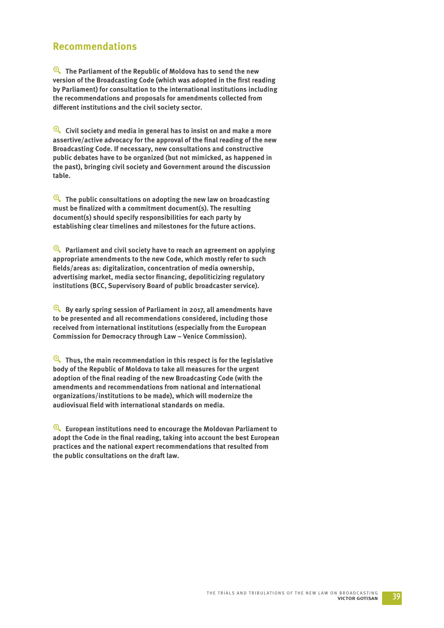## **Recommendations**

y **The Parliament of the Republic of Moldova has to send the new**  version of the Broadcasting Code (which was adopted in the first reading **by Parliament) for consultation to the international institutions including the recommendations and proposals for amendments collected from**  different institutions and the civil society sector.

y **Civil society and media in general has to insist on and make a more**  assertive/active advocacy for the approval of the final reading of the new **Broadcasting Code. If necessary, new consultations and constructive public debates have to be organized (but not mimicked, as happened in the past), bringing civil society and Government around the discussion table.**

y **The public consultations on adopting the new law on broadcasting**  must be finalized with a commitment document(s). The resulting **document(s) should specify responsibilities for each party by establishing clear timelines and milestones for the future actions.**

y **Parliament and civil society have to reach an agreement on applying appropriate amendments to the new Code, which mostly refer to such fi elds/areas as: digitalization, concentration of media ownership,**  advertising market, media sector financing, depoliticizing regulatory **institutions (BCC, Supervisory Board of public broadcaster service).** 

y **By early spring session of Parliament in 2017, all amendments have to be presented and all recommendations considered, including those received from international institutions (especially from the European Commission for Democracy through Law – Venice Commission).** 

y **Thus, the main recommendation in this respect is for the legislative body of the Republic of Moldova to take all measures for the urgent**  adoption of the final reading of the new Broadcasting Code (with the **amendments and recommendations from national and international organizations/institutions to be made), which will modernize the**  audiovisual field with international standards on media.

y **European institutions need to encourage the Moldovan Parliament to**  adopt the Code in the final reading, taking into account the best European **practices and the national expert recommendations that resulted from the public consultations on the draft law.**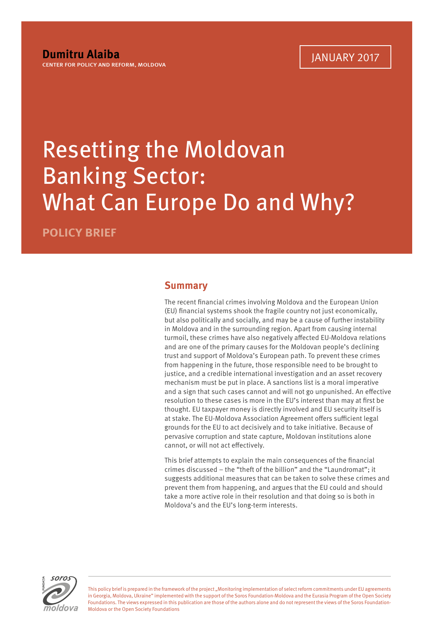## Resetting the Moldovan Banking Sector: What Can Europe Do and Why?

**POLICY BRIEF**

## **Summary**

The recent financial crimes involving Moldova and the European Union (EU) financial systems shook the fragile country not just economically, but also politically and socially, and may be a cause of further instability in Moldova and in the surrounding region. Apart from causing internal turmoil, these crimes have also negatively affected EU-Moldova relations and are one of the primary causes for the Moldovan people's declining trust and support of Moldova's European path. To prevent these crimes from happening in the future, those responsible need to be brought to justice, and a credible international investigation and an asset recovery mechanism must be put in place. A sanctions list is a moral imperative and a sign that such cases cannot and will not go unpunished. An effective resolution to these cases is more in the EU's interest than may at first be thought. EU taxpayer money is directly involved and EU security itself is at stake. The EU-Moldova Association Agreement offers sufficient legal grounds for the EU to act decisively and to take initiative. Because of pervasive corruption and state capture, Moldovan institutions alone cannot, or will not act effectively.

This brief attempts to explain the main consequences of the financial crimes discussed – the "theft of the billion" and the "Laundromat"; it suggests additional measures that can be taken to solve these crimes and prevent them from happening, and argues that the EU could and should take a more active role in their resolution and that doing so is both in Moldova's and the EU's long-term interests.



This policy brief is prepared in the framework of the project "Monitoring implementation of select reform commitments under EU agreements in Georgia, Moldova, Ukraine" implemented with the support of the Soros Foundation-Moldova and the Eurasia Program of the Open Society Foundations. The views expressed in this publication are those of the authors alone and do not represent the views of the Soros Foundation-Moldova or the Open Society Foundations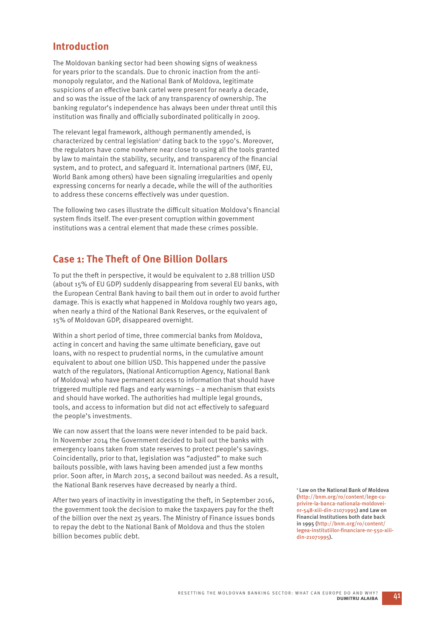## **Introduction**

The Moldovan banking sector had been showing signs of weakness for years prior to the scandals. Due to chronic inaction from the antimonopoly regulator, and the National Bank of Moldova, legitimate suspicions of an effective bank cartel were present for nearly a decade, and so was the issue of the lack of any transparency of ownership. The banking regulator's independence has always been under threat until this institution was finally and officially subordinated politically in 2009.

The relevant legal framework, although permanently amended, is characterized by central legislation<sup>1</sup> dating back to the 1990's. Moreover, the regulators have come nowhere near close to using all the tools granted by law to maintain the stability, security, and transparency of the financial system, and to protect, and safeguard it. International partners (IMF, EU, World Bank among others) have been signaling irregularities and openly expressing concerns for nearly a decade, while the will of the authorities to address these concerns effectively was under question.

The following two cases illustrate the difficult situation Moldova's financial system finds itself. The ever-present corruption within government institutions was a central element that made these crimes possible.

## **Case 1: The Theft of One Billion Dollars**

To put the theft in perspective, it would be equivalent to 2.88 trillion USD (about 15% of EU GDP) suddenly disappearing from several EU banks, with the European Central Bank having to bail them out in order to avoid further damage. This is exactly what happened in Moldova roughly two years ago, when nearly a third of the National Bank Reserves, or the equivalent of 15% of Moldovan GDP, disappeared overnight.

Within a short period of time, three commercial banks from Moldova, acting in concert and having the same ultimate beneficiary, gave out loans, with no respect to prudential norms, in the cumulative amount equivalent to about one billion USD. This happened under the passive watch of the regulators, (National Anticorruption Agency, National Bank of Moldova) who have permanent access to information that should have triggered multiple red flags and early warnings – a mechanism that exists and should have worked. The authorities had multiple legal grounds, tools, and access to information but did not act effectively to safeguard the people's investments.

We can now assert that the loans were never intended to be paid back. In November 2014 the Government decided to bail out the banks with emergency loans taken from state reserves to protect people's savings. Coincidentally, prior to that, legislation was "adjusted" to make such bailouts possible, with laws having been amended just a few months prior. Soon after, in March 2015, a second bailout was needed. As a result, the National Bank reserves have decreased by nearly a third.

After two years of inactivity in investigating the theft, in September 2016, the government took the decision to make the taxpayers pay for the theft of the billion over the next 25 years. The Ministry of Finance issues bonds to repay the debt to the National Bank of Moldova and thus the stolen billion becomes public debt.

1 Law on the National Bank of Moldova (http://bnm.org/ro/content/lege-cuprivire-la-banca-nationala-moldoveinr-548-xiii-din-21071995) and Law on Financial Institutions both date back in 1995 (http://bnm.org/ro/content/ legea-institutiilor-financiare-nr-550-xiiidin-21071995).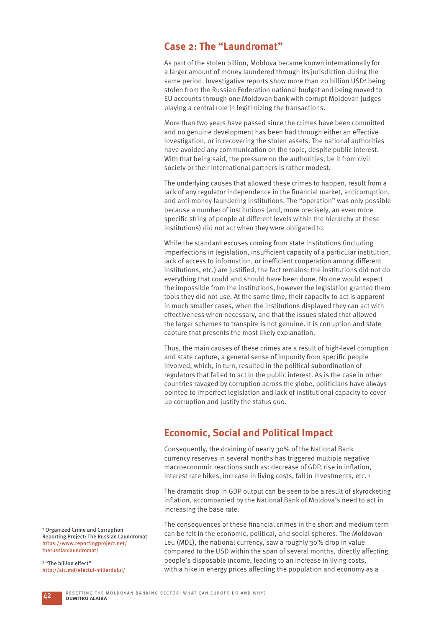## **Case 2: The "Laundromat"**

As part of the stolen billion, Moldova became known internationally for a larger amount of money laundered through its jurisdiction during the same period. Investigative reports show more than 20 billion USD<sup>2</sup> being stolen from the Russian Federation national budget and being moved to EU accounts through one Moldovan bank with corrupt Moldovan judges playing a central role in legitimizing the transactions.

More than two years have passed since the crimes have been committed and no genuine development has been had through either an effective investigation, or in recovering the stolen assets. The national authorities have avoided any communication on the topic, despite public interest. With that being said, the pressure on the authorities, be it from civil society or their international partners is rather modest.

The underlying causes that allowed these crimes to happen, result from a lack of any regulator independence in the financial market, anticorruption, and anti-money laundering institutions. The "operation" was only possible because a number of institutions (and, more precisely, an even more specific string of people at different levels within the hierarchy at these institutions) did not act when they were obligated to.

While the standard excuses coming from state institutions (including imperfections in legislation, insufficient capacity of a particular institution, lack of access to information, or inefficient cooperation among different institutions, etc.) are justified, the fact remains: the institutions did not do everything that could and should have been done. No one would expect the impossible from the institutions, however the legislation granted them tools they did not use. At the same time, their capacity to act is apparent in much smaller cases, when the institutions displayed they can act with effectiveness when necessary, and that the issues stated that allowed the larger schemes to transpire is not genuine. It is corruption and state capture that presents the most likely explanation.

Thus, the main causes of these crimes are a result of high-level corruption and state capture, a general sense of impunity from specific people involved, which, in turn, resulted in the political subordination of regulators that failed to act in the public interest. As is the case in other countries ravaged by corruption across the globe, politicians have always pointed to imperfect legislation and lack of institutional capacity to cover up corruption and justify the status quo.

## **Economic, Social and Political Impact**

Consequently, the draining of nearly 30% of the National Bank currency reserves in several months has triggered multiple negative macroeconomic reactions such as: decrease of GDP, rise in inflation, interest rate hikes, increase in living costs, fall in investments, etc. 3

The dramatic drop in GDP output can be seen to be a result of skyrocketing inflation, accompanied by the National Bank of Moldova's need to act in increasing the base rate.

The consequences of these financial crimes in the short and medium term can be felt in the economic, political, and social spheres. The Moldovan Leu (MDL), the national currency, saw a roughly 30% drop in value compared to the USD within the span of several months, directly affecting people's disposable income, leading to an increase in living costs, with a hike in energy prices affecting the population and economy as a

2 Organized Crime and Corruption Reporting Project: The Russian Laundromat https://www.reportingproject.net/ therussianlaundromat/

<sup>3</sup> "The billion effect" http://sic.md/efectul-miliardului/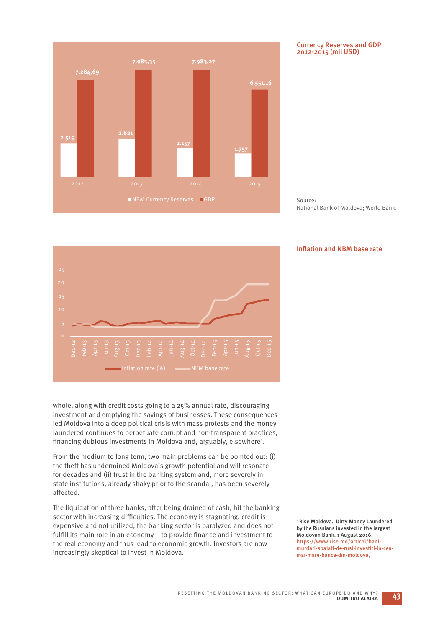

#### Currency Reserves and GDP 2012-2015 (mil USD)

Source: National Bank of Moldova; World Bank.

#### Inflation and NBM base rate



whole, along with credit costs going to a 25% annual rate, discouraging investment and emptying the savings of businesses. These consequences led Moldova into a deep political crisis with mass protests and the money laundered continues to perpetuate corrupt and non-transparent practices, financing dubious investments in Moldova and, arguably, elsewhere<sup>4</sup>.

From the medium to long term, two main problems can be pointed out: (i) the theft has undermined Moldova's growth potential and will resonate for decades and (ii) trust in the banking system and, more severely in state institutions, already shaky prior to the scandal, has been severely affected.

The liquidation of three banks, after being drained of cash, hit the banking sector with increasing difficulties. The economy is stagnating, credit is expensive and not utilized, the banking sector is paralyzed and does not fulfill its main role in an economy  $-$  to provide finance and investment to the real economy and thus lead to economic growth. Investors are now increasingly skeptical to invest in Moldova.

4 Rise Moldova. Dirty Money Laundered by the Russians invested in the largest Moldovan Bank. 1 August 2016. https://www.rise.md/articol/banimurdari-spalati-de-rusi-investiti-in-ceamai-mare-banca-din-moldova/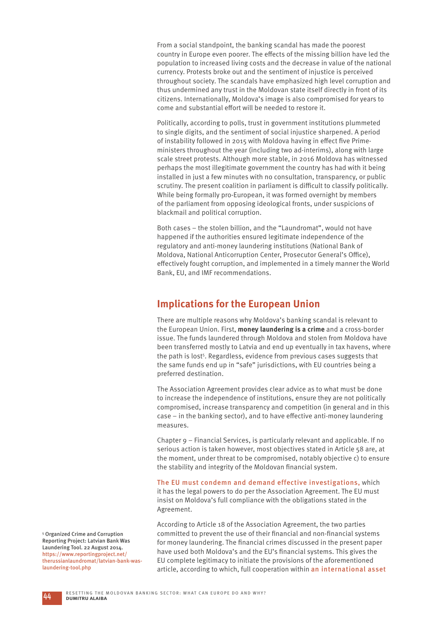From a social standpoint, the banking scandal has made the poorest country in Europe even poorer. The effects of the missing billion have led the population to increased living costs and the decrease in value of the national currency. Protests broke out and the sentiment of injustice is perceived throughout society. The scandals have emphasized high level corruption and thus undermined any trust in the Moldovan state itself directly in front of its citizens. Internationally, Moldova's image is also compromised for years to come and substantial effort will be needed to restore it.

Politically, according to polls, trust in government institutions plummeted to single digits, and the sentiment of social injustice sharpened. A period of instability followed in 2015 with Moldova having in effect five Primeministers throughout the year (including two ad-interims), along with large scale street protests. Although more stable, in 2016 Moldova has witnessed perhaps the most illegitimate government the country has had with it being installed in just a few minutes with no consultation, transparency, or public scrutiny. The present coalition in parliament is difficult to classify politically. While being formally pro-European, it was formed overnight by members of the parliament from opposing ideological fronts, under suspicions of blackmail and political corruption.

Both cases – the stolen billion, and the "Laundromat", would not have happened if the authorities ensured legitimate independence of the regulatory and anti-money laundering institutions (National Bank of Moldova, National Anticorruption Center, Prosecutor General's Office), effectively fought corruption, and implemented in a timely manner the World Bank, EU, and IMF recommendations.

## **Implications for the European Union**

There are multiple reasons why Moldova's banking scandal is relevant to the European Union. First, **money laundering is a crime** and a cross-border issue. The funds laundered through Moldova and stolen from Moldova have been transferred mostly to Latvia and end up eventually in tax havens, where the path is lost<sup>5</sup>. Regardless, evidence from previous cases suggests that the same funds end up in "safe" jurisdictions, with EU countries being a preferred destination.

The Association Agreement provides clear advice as to what must be done to increase the independence of institutions, ensure they are not politically compromised, increase transparency and competition (in general and in this  $case - in$  the banking sector), and to have effective anti-money laundering measures.

Chapter 9 – Financial Services, is particularly relevant and applicable. If no serious action is taken however, most objectives stated in Article 58 are, at the moment, under threat to be compromised, notably objective c) to ensure the stability and integrity of the Moldovan financial system.

The EU must condemn and demand effective investigations, which it has the legal powers to do per the Association Agreement. The EU must insist on Moldova's full compliance with the obligations stated in the Agreement.

According to Article 18 of the Association Agreement, the two parties committed to prevent the use of their financial and non-financial systems for money laundering. The financial crimes discussed in the present paper have used both Moldova's and the EU's financial systems. This gives the EU complete legitimacy to initiate the provisions of the aforementioned article, according to which, full cooperation within an international asset

5 Organized Crime and Corruption Reporting Project: Latvian Bank Was Laundering Tool. 22 August 2014. https://www.reportingproject.net/ therussianlaundromat/latvian-bank-waslaundering-tool.php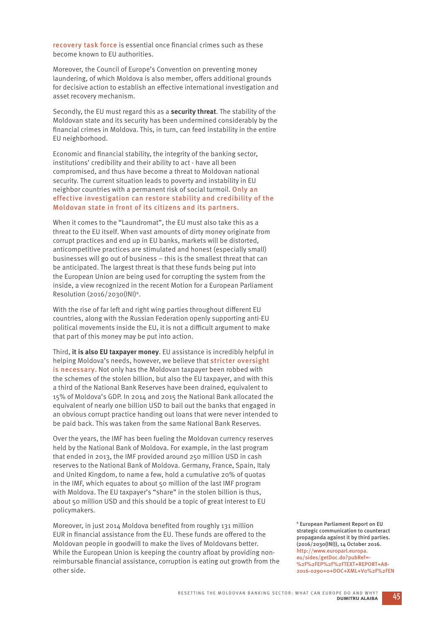recovery task force is essential once financial crimes such as these become known to EU authorities.

Moreover, the Council of Europe's Convention on preventing money laundering, of which Moldova is also member, offers additional grounds for decisive action to establish an effective international investigation and asset recovery mechanism.

Secondly, the EU must regard this as a **security threat**. The stability of the Moldovan state and its security has been undermined considerably by the financial crimes in Moldova. This, in turn, can feed instability in the entire EU neighborhood.

Economic and financial stability, the integrity of the banking sector, institutions' credibility and their ability to act - have all been compromised, and thus have become a threat to Moldovan national security. The current situation leads to poverty and instability in EU neighbor countries with a permanent risk of social turmoil. Only an effective investigation can restore stability and credibility of the Moldovan state in front of its citizens and its partners.

When it comes to the "Laundromat", the EU must also take this as a threat to the EU itself. When vast amounts of dirty money originate from corrupt practices and end up in EU banks, markets will be distorted, anticompetitive practices are stimulated and honest (especially small) businesses will go out of business – this is the smallest threat that can be anticipated. The largest threat is that these funds being put into the European Union are being used for corrupting the system from the inside, a view recognized in the recent Motion for a European Parliament Resolution (2016/2030(INI)6.

With the rise of far left and right wing parties throughout different EU countries, along with the Russian Federation openly supporting anti-EU political movements inside the EU, it is not a difficult argument to make that part of this money may be put into action.

Third, **it is also EU taxpayer money**. EU assistance is incredibly helpful in helping Moldova's needs, however, we believe that stricter oversight is necessary. Not only has the Moldovan taxpayer been robbed with the schemes of the stolen billion, but also the EU taxpayer, and with this a third of the National Bank Reserves have been drained, equivalent to 15% of Moldova's GDP. In 2014 and 2015 the National Bank allocated the equivalent of nearly one billion USD to bail out the banks that engaged in an obvious corrupt practice handing out loans that were never intended to be paid back. This was taken from the same National Bank Reserves.

Over the years, the IMF has been fueling the Moldovan currency reserves held by the National Bank of Moldova. For example, in the last program that ended in 2013, the IMF provided around 250 million USD in cash reserves to the National Bank of Moldova. Germany, France, Spain, Italy and United Kingdom, to name a few, hold a cumulative 20% of quotas in the IMF, which equates to about 50 million of the last IMF program with Moldova. The EU taxpayer's "share" in the stolen billion is thus, about 50 million USD and this should be a topic of great interest to EU policymakers.

Moreover, in just 2014 Moldova benefited from roughly 131 million EUR in financial assistance from the EU. These funds are offered to the Moldovan people in goodwill to make the lives of Moldovans better. While the European Union is keeping the country afloat by providing nonreimbursable financial assistance, corruption is eating out growth from the other side.

6 European Parliament Report on EU strategic communication to counteract propaganda against it by third parties. (2016/2030(INI)), 14 October 2016. http://www.europarl.europa. eu/sides/getDoc.do?pubRef=- %2F%2FEP%2F%2FTEXT+RFPORT+A8-2016-0290+0+DOC+XML+V0%2F%2FEN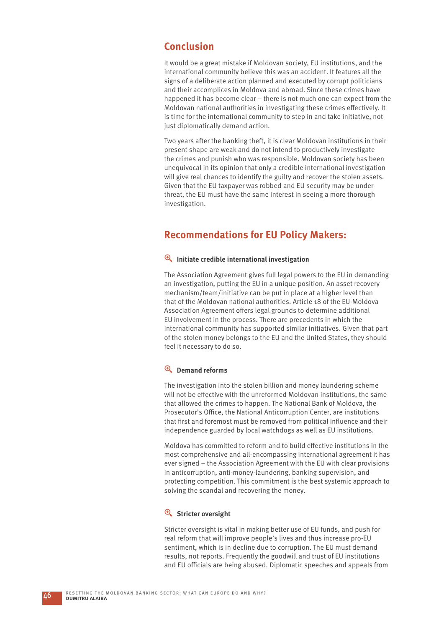## **Conclusion**

It would be a great mistake if Moldovan society, EU institutions, and the international community believe this was an accident. It features all the signs of a deliberate action planned and executed by corrupt politicians and their accomplices in Moldova and abroad. Since these crimes have happened it has become clear – there is not much one can expect from the Moldovan national authorities in investigating these crimes effectively. It is time for the international community to step in and take initiative, not just diplomatically demand action.

Two years after the banking theft, it is clear Moldovan institutions in their present shape are weak and do not intend to productively investigate the crimes and punish who was responsible. Moldovan society has been unequivocal in its opinion that only a credible international investigation will give real chances to identify the guilty and recover the stolen assets. Given that the EU taxpayer was robbed and EU security may be under threat, the EU must have the same interest in seeing a more thorough investigation.

## **Recommendations for EU Policy Makers:**

## $\overline{\mathbf{P}}$  Initiate credible international investigation

The Association Agreement gives full legal powers to the EU in demanding an investigation, putting the EU in a unique position. An asset recovery mechanism/team/initiative can be put in place at a higher level than that of the Moldovan national authorities. Article 18 of the EU-Moldova Association Agreement offers legal grounds to determine additional EU involvement in the process. There are precedents in which the international community has supported similar initiatives. Given that part of the stolen money belongs to the EU and the United States, they should feel it necessary to do so.

## y **Demand reforms**

The investigation into the stolen billion and money laundering scheme will not be effective with the unreformed Moldovan institutions, the same that allowed the crimes to happen. The National Bank of Moldova, the Prosecutor's Office, the National Anticorruption Center, are institutions that first and foremost must be removed from political influence and their independence guarded by local watchdogs as well as EU institutions.

Moldova has committed to reform and to build effective institutions in the most comprehensive and all-encompassing international agreement it has ever signed – the Association Agreement with the EU with clear provisions in anticorruption, anti-money-laundering, banking supervision, and protecting competition. This commitment is the best systemic approach to solving the scandal and recovering the money.

## **e** Stricter oversight

Stricter oversight is vital in making better use of EU funds, and push for real reform that will improve people's lives and thus increase pro-EU sentiment, which is in decline due to corruption. The EU must demand results, not reports. Frequently the goodwill and trust of EU institutions and EU officials are being abused. Diplomatic speeches and appeals from

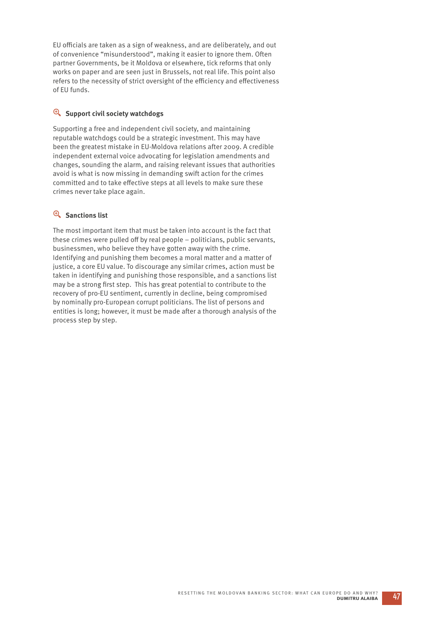EU officials are taken as a sign of weakness, and are deliberately, and out of convenience "misunderstood", making it easier to ignore them. Often partner Governments, be it Moldova or elsewhere, tick reforms that only works on paper and are seen just in Brussels, not real life. This point also refers to the necessity of strict oversight of the efficiency and effectiveness of EU funds.

## **E** Support civil society watchdogs

Supporting a free and independent civil society, and maintaining reputable watchdogs could be a strategic investment. This may have been the greatest mistake in EU-Moldova relations after 2009. A credible independent external voice advocating for legislation amendments and changes, sounding the alarm, and raising relevant issues that authorities avoid is what is now missing in demanding swift action for the crimes committed and to take effective steps at all levels to make sure these crimes never take place again.

## <sup><sup>Q</sup> Sanctions list</sup>

The most important item that must be taken into account is the fact that these crimes were pulled off by real people – politicians, public servants, businessmen, who believe they have gotten away with the crime. Identifying and punishing them becomes a moral matter and a matter of justice, a core EU value. To discourage any similar crimes, action must be taken in identifying and punishing those responsible, and a sanctions list may be a strong first step. This has great potential to contribute to the recovery of pro-EU sentiment, currently in decline, being compromised by nominally pro-European corrupt politicians. The list of persons and entities is long; however, it must be made after a thorough analysis of the process step by step.